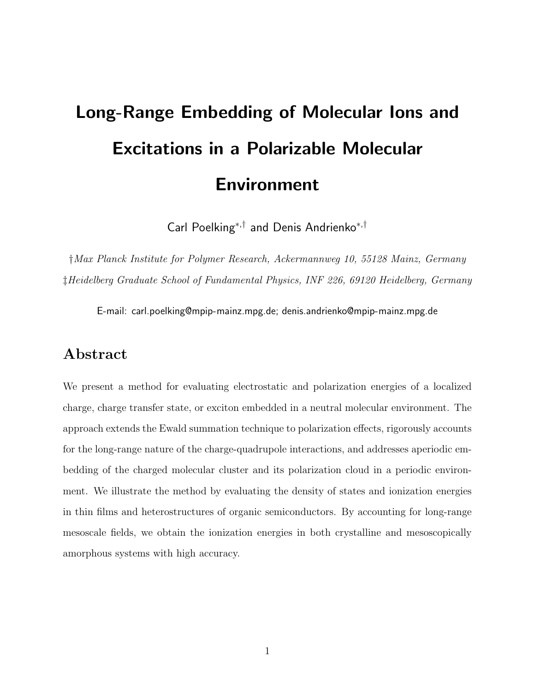# Long-Range Embedding of Molecular Ions and Excitations in a Polarizable Molecular Environment

Carl Poelking<sup>∗</sup>,† and Denis Andrienko<sup>∗</sup>,†

†*Max Planck Institute for Polymer Research, Ackermannweg 10, 55128 Mainz, Germany* ‡*Heidelberg Graduate School of Fundamental Physics, INF 226, 69120 Heidelberg, Germany*

E-mail: carl.poelking@mpip-mainz.mpg.de; denis.andrienko@mpip-mainz.mpg.de

### Abstract

We present a method for evaluating electrostatic and polarization energies of a localized charge, charge transfer state, or exciton embedded in a neutral molecular environment. The approach extends the Ewald summation technique to polarization effects, rigorously accounts for the long-range nature of the charge-quadrupole interactions, and addresses aperiodic embedding of the charged molecular cluster and its polarization cloud in a periodic environment. We illustrate the method by evaluating the density of states and ionization energies in thin films and heterostructures of organic semiconductors. By accounting for long-range mesoscale fields, we obtain the ionization energies in both crystalline and mesoscopically amorphous systems with high accuracy.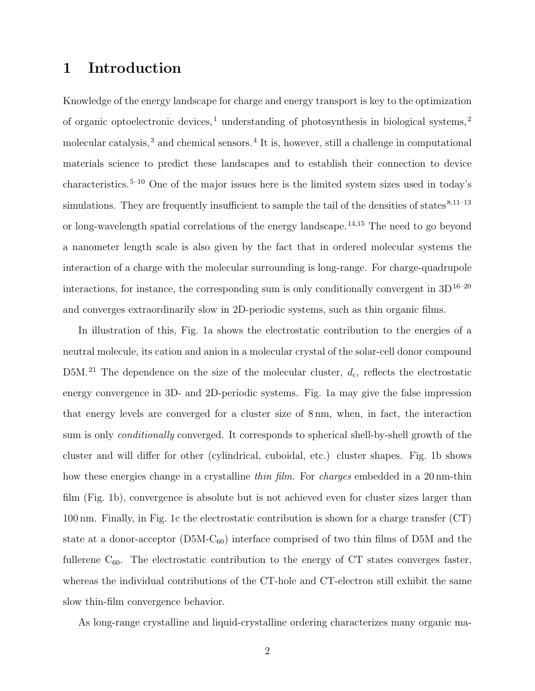# 1 Introduction

Knowledge of the energy landscape for charge and energy transport is key to the optimization of organic optoelectronic devices,<sup>1</sup> understanding of photosynthesis in biological systems,<sup>2</sup> molecular catalysis,<sup>3</sup> and chemical sensors.<sup>4</sup> It is, however, still a challenge in computational materials science to predict these landscapes and to establish their connection to device characteristics.5–10 One of the major issues here is the limited system sizes used in today's simulations. They are frequently insufficient to sample the tail of the densities of states $8,11-13$ or long-wavelength spatial correlations of the energy landscape.<sup>14,15</sup> The need to go beyond a nanometer length scale is also given by the fact that in ordered molecular systems the interaction of a charge with the molecular surrounding is long-range. For charge-quadrupole interactions, for instance, the corresponding sum is only conditionally convergent in  $3D^{16-20}$ and converges extraordinarily slow in 2D-periodic systems, such as thin organic films.

In illustration of this, Fig. 1a shows the electrostatic contribution to the energies of a neutral molecule, its cation and anion in a molecular crystal of the solar-cell donor compound D5M.<sup>21</sup> The dependence on the size of the molecular cluster,  $d_c$ , reflects the electrostatic energy convergence in 3D- and 2D-periodic systems. Fig. 1a may give the false impression that energy levels are converged for a cluster size of 8 nm, when, in fact, the interaction sum is only *conditionally* converged. It corresponds to spherical shell-by-shell growth of the cluster and will differ for other (cylindrical, cuboidal, etc.) cluster shapes. Fig. 1b shows how these energies change in a crystalline *thin film*. For *charges* embedded in a 20 nm-thin film (Fig. 1b), convergence is absolute but is not achieved even for cluster sizes larger than 100 nm. Finally, in Fig. 1c the electrostatic contribution is shown for a charge transfer (CT) state at a donor-acceptor  $(D5M-C_{60})$  interface comprised of two thin films of D5M and the fullerene  $C_{60}$ . The electrostatic contribution to the energy of CT states converges faster, whereas the individual contributions of the CT-hole and CT-electron still exhibit the same slow thin-film convergence behavior.

As long-range crystalline and liquid-crystalline ordering characterizes many organic ma-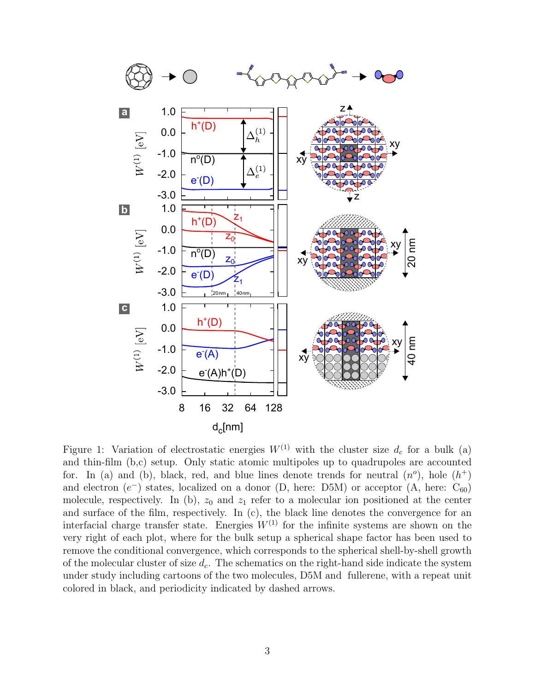

Figure 1: Variation of electrostatic energies  $W^{(1)}$  with the cluster size  $d_c$  for a bulk (a) and thin-film (b,c) setup. Only static atomic multipoles up to quadrupoles are accounted for. In (a) and (b), black, red, and blue lines denote trends for neutral  $(n^o)$ , hole  $(h^+)$ and electron  $(e^-)$  states, localized on a donor  $(D, here: D5M)$  or acceptor  $(A, here: C_{60})$ molecule, respectively. In (b),  $z_0$  and  $z_1$  refer to a molecular ion positioned at the center and surface of the film, respectively. In (c), the black line denotes the convergence for an interfacial charge transfer state. Energies  $W^{(1)}$  for the infinite systems are shown on the very right of each plot, where for the bulk setup a spherical shape factor has been used to remove the conditional convergence, which corresponds to the spherical shell-by-shell growth of the molecular cluster of size  $d_c$ . The schematics on the right-hand side indicate the system under study including cartoons of the two molecules, D5M and fullerene, with a repeat unit colored in black, and periodicity indicated by dashed arrows.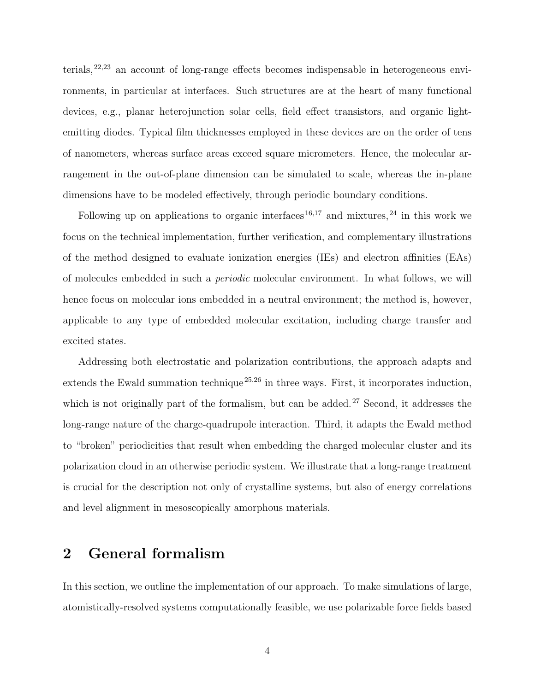terials,  $22,23$  an account of long-range effects becomes indispensable in heterogeneous environments, in particular at interfaces. Such structures are at the heart of many functional devices, e.g., planar heterojunction solar cells, field effect transistors, and organic lightemitting diodes. Typical film thicknesses employed in these devices are on the order of tens of nanometers, whereas surface areas exceed square micrometers. Hence, the molecular arrangement in the out-of-plane dimension can be simulated to scale, whereas the in-plane dimensions have to be modeled effectively, through periodic boundary conditions.

Following up on applications to organic interfaces<sup>16,17</sup> and mixtures,<sup>24</sup> in this work we focus on the technical implementation, further verification, and complementary illustrations of the method designed to evaluate ionization energies (IEs) and electron affinities (EAs) of molecules embedded in such a *periodic* molecular environment. In what follows, we will hence focus on molecular ions embedded in a neutral environment; the method is, however, applicable to any type of embedded molecular excitation, including charge transfer and excited states.

Addressing both electrostatic and polarization contributions, the approach adapts and extends the Ewald summation technique<sup>25,26</sup> in three ways. First, it incorporates induction, which is not originally part of the formalism, but can be added.<sup>27</sup> Second, it addresses the long-range nature of the charge-quadrupole interaction. Third, it adapts the Ewald method to "broken" periodicities that result when embedding the charged molecular cluster and its polarization cloud in an otherwise periodic system. We illustrate that a long-range treatment is crucial for the description not only of crystalline systems, but also of energy correlations and level alignment in mesoscopically amorphous materials.

#### 2 General formalism

In this section, we outline the implementation of our approach. To make simulations of large, atomistically-resolved systems computationally feasible, we use polarizable force fields based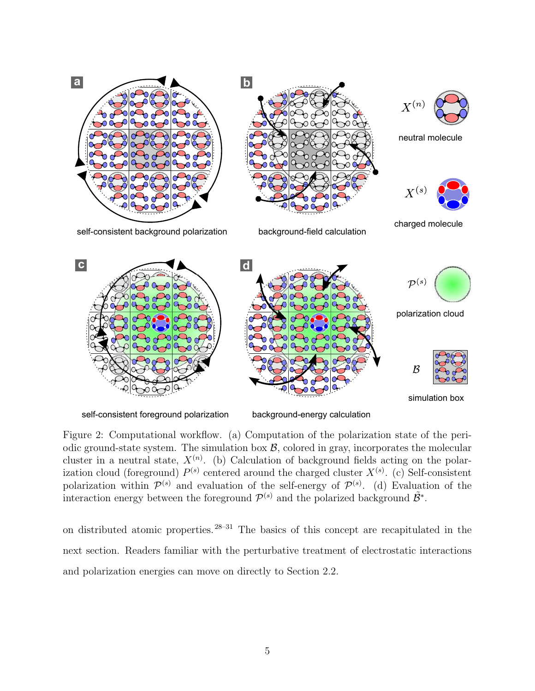

Figure 2: Computational workflow. (a) Computation of the polarization state of the periodic ground-state system. The simulation box  $\mathcal{B}$ , colored in gray, incorporates the molecular cluster in a neutral state,  $X^{(n)}$ . (b) Calculation of background fields acting on the polarization cloud (foreground)  $P^{(s)}$  centered around the charged cluster  $X^{(s)}$ . (c) Self-consistent polarization within  $\mathcal{P}^{(s)}$  and evaluation of the self-energy of  $\mathcal{P}^{(s)}$ . (d) Evaluation of the interaction energy between the foreground  $\mathcal{P}^{(s)}$  and the polarized background  $\tilde{\mathcal{B}}^*$ .

on distributed atomic properties.28–31 The basics of this concept are recapitulated in the next section. Readers familiar with the perturbative treatment of electrostatic interactions and polarization energies can move on directly to Section 2.2.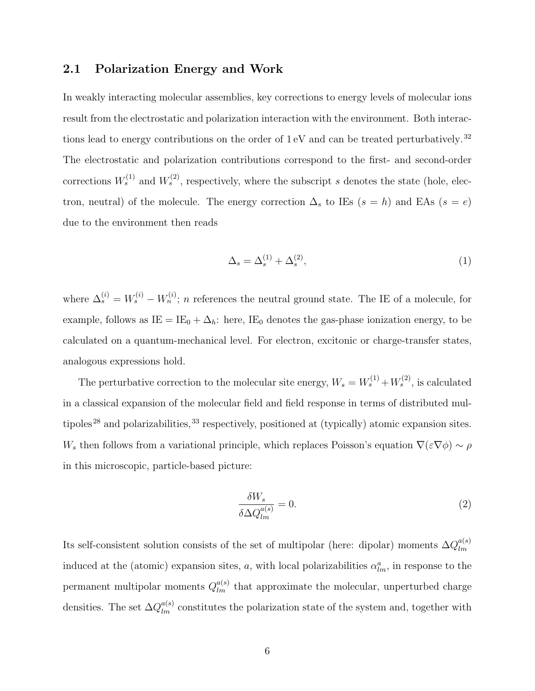#### 2.1 Polarization Energy and Work

In weakly interacting molecular assemblies, key corrections to energy levels of molecular ions result from the electrostatic and polarization interaction with the environment. Both interactions lead to energy contributions on the order of  $1 \text{ eV}$  and can be treated perturbatively.<sup>32</sup> The electrostatic and polarization contributions correspond to the first- and second-order corrections  $W_s^{(1)}$  and  $W_s^{(2)}$ , respectively, where the subscript s denotes the state (hole, electron, neutral) of the molecule. The energy correction  $\Delta_s$  to IEs  $(s = h)$  and EAs  $(s = e)$ due to the environment then reads

$$
\Delta_s = \Delta_s^{(1)} + \Delta_s^{(2)},\tag{1}
$$

where  $\Delta_s^{(i)} = W_s^{(i)} - W_n^{(i)}$ ; n references the neutral ground state. The IE of a molecule, for example, follows as  $IE = IE_0 + \Delta_h$ : here, IE<sub>0</sub> denotes the gas-phase ionization energy, to be calculated on a quantum-mechanical level. For electron, excitonic or charge-transfer states, analogous expressions hold.

The perturbative correction to the molecular site energy,  $W_s = W_s^{(1)} + W_s^{(2)}$ , is calculated in a classical expansion of the molecular field and field response in terms of distributed multipoles<sup>28</sup> and polarizabilities,  $33$  respectively, positioned at (typically) atomic expansion sites. W<sub>s</sub> then follows from a variational principle, which replaces Poisson's equation  $\nabla(\varepsilon\nabla\phi) \sim \rho$ in this microscopic, particle-based picture:

$$
\frac{\delta W_s}{\delta \Delta Q_{lm}^{a(s)}} = 0. \tag{2}
$$

Its self-consistent solution consists of the set of multipolar (here: dipolar) moments  $\Delta Q_{lm}^{a(s)}$ lm induced at the (atomic) expansion sites, a, with local polarizabilities  $\alpha_{lm}^a$ , in response to the permanent multipolar moments  $Q_{lm}^{a(s)}$  that approximate the molecular, unperturbed charge densities. The set  $\Delta Q_{lm}^{a(s)}$  constitutes the polarization state of the system and, together with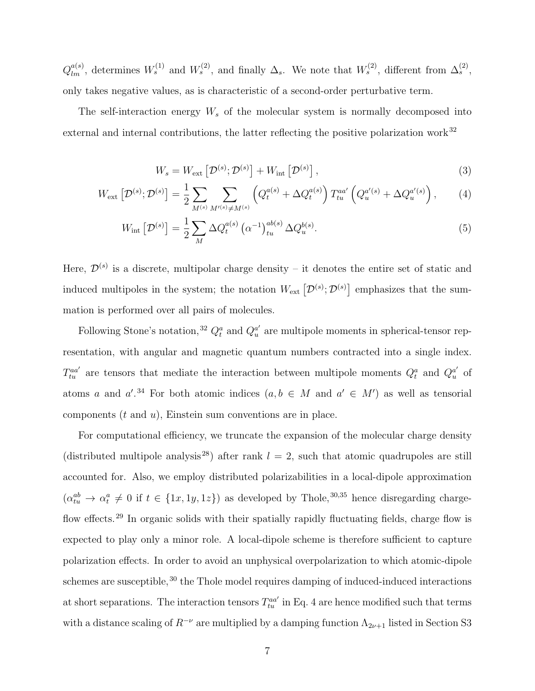$Q_{lm}^{a(s)}$ , determines  $W_s^{(1)}$  and  $W_s^{(2)}$ , and finally  $\Delta_s$ . We note that  $W_s^{(2)}$ , different from  $\Delta_s^{(2)}$ , only takes negative values, as is characteristic of a second-order perturbative term.

The self-interaction energy  $W_s$  of the molecular system is normally decomposed into external and internal contributions, the latter reflecting the positive polarization work<sup>32</sup>

$$
W_s = W_{\text{ext}} \left[ \mathcal{D}^{(s)}; \mathcal{D}^{(s)} \right] + W_{\text{int}} \left[ \mathcal{D}^{(s)} \right], \tag{3}
$$

$$
W_{\text{ext}}\left[\mathcal{D}^{(s)}; \mathcal{D}^{(s)}\right] = \frac{1}{2} \sum_{M^{(s)}} \sum_{M'^{(s)} \neq M^{(s)}} \left(Q_t^{a(s)} + \Delta Q_t^{a(s)}\right) T_{tu}^{aa'}\left(Q_u^{a'(s)} + \Delta Q_u^{a'(s)}\right),\tag{4}
$$

$$
W_{\rm int} \left[ \mathcal{D}^{(s)} \right] = \frac{1}{2} \sum_{M} \Delta Q_t^{a(s)} \left( \alpha^{-1} \right)_{tu}^{ab(s)} \Delta Q_u^{b(s)}.
$$
 (5)

Here,  $\mathcal{D}^{(s)}$  is a discrete, multipolar charge density – it denotes the entire set of static and induced multipoles in the system; the notation  $W_{ext} \left[ \mathcal{D}^{(s)}; \mathcal{D}^{(s)} \right]$  emphasizes that the summation is performed over all pairs of molecules.

Following Stone's notation,<sup>32</sup>  $Q_t^a$  and  $Q_u^{a'}$  $u<sub>u</sub><sup>a'</sup>$  are multipole moments in spherical-tensor representation, with angular and magnetic quantum numbers contracted into a single index.  $T_{tu}^{aa'}$  are tensors that mediate the interaction between multipole moments  $Q_t^a$  and  $Q_u^{a'}$  $\frac{a'}{u}$  of atoms a and  $a'$ .<sup>34</sup> For both atomic indices  $(a, b \in M$  and  $a' \in M'$  as well as tensorial components  $(t \text{ and } u)$ , Einstein sum conventions are in place.

For computational efficiency, we truncate the expansion of the molecular charge density (distributed multipole analysis<sup>28</sup>) after rank  $l = 2$ , such that atomic quadrupoles are still accounted for. Also, we employ distributed polarizabilities in a local-dipole approximation  $(\alpha_{tu}^{ab} \rightarrow \alpha_t^a \neq 0 \text{ if } t \in \{1x, 1y, 1z\})$  as developed by Thole,  $30,35$  hence disregarding chargeflow effects.<sup>29</sup> In organic solids with their spatially rapidly fluctuating fields, charge flow is expected to play only a minor role. A local-dipole scheme is therefore sufficient to capture polarization effects. In order to avoid an unphysical overpolarization to which atomic-dipole schemes are susceptible,<sup>30</sup> the Thole model requires damping of induced-induced interactions at short separations. The interaction tensors  $T_{tu}^{aa'}$  in Eq. 4 are hence modified such that terms with a distance scaling of  $R^{-\nu}$  are multiplied by a damping function  $\Lambda_{2\nu+1}$  listed in Section S3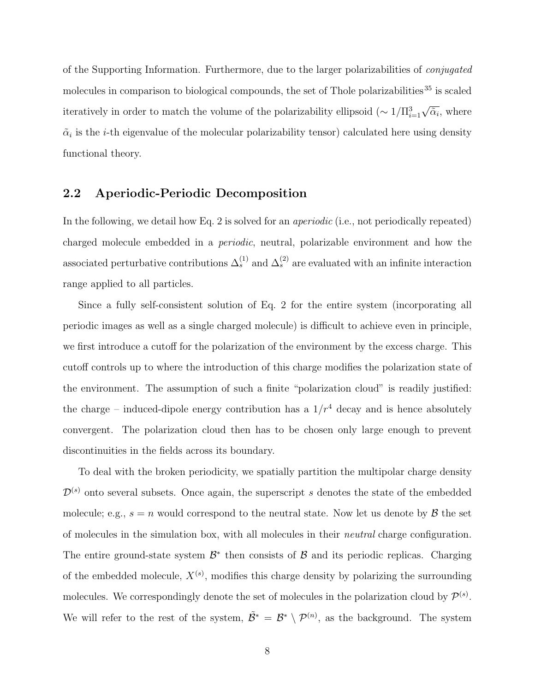of the Supporting Information. Furthermore, due to the larger polarizabilities of *conjugated* molecules in comparison to biological compounds, the set of Thole polarizabilities<sup>35</sup> is scaled iteratively in order to match the volume of the polarizability ellipsoid  $(\sim 1/\Pi_{i=1}^3 \sqrt{\tilde{\alpha}_i})$ , where  $\tilde{\alpha}_i$  is the *i*-th eigenvalue of the molecular polarizability tensor) calculated here using density functional theory.

#### 2.2 Aperiodic-Periodic Decomposition

In the following, we detail how Eq. 2 is solved for an *aperiodic* (i.e., not periodically repeated) charged molecule embedded in a *periodic*, neutral, polarizable environment and how the associated perturbative contributions  $\Delta_s^{(1)}$  and  $\Delta_s^{(2)}$  are evaluated with an infinite interaction range applied to all particles.

Since a fully self-consistent solution of Eq. 2 for the entire system (incorporating all periodic images as well as a single charged molecule) is difficult to achieve even in principle, we first introduce a cutoff for the polarization of the environment by the excess charge. This cutoff controls up to where the introduction of this charge modifies the polarization state of the environment. The assumption of such a finite "polarization cloud" is readily justified: the charge – induced-dipole energy contribution has a  $1/r^4$  decay and is hence absolutely convergent. The polarization cloud then has to be chosen only large enough to prevent discontinuities in the fields across its boundary.

To deal with the broken periodicity, we spatially partition the multipolar charge density  $\mathcal{D}^{(s)}$  onto several subsets. Once again, the superscript s denotes the state of the embedded molecule; e.g.,  $s = n$  would correspond to the neutral state. Now let us denote by  $\beta$  the set of molecules in the simulation box, with all molecules in their *neutral* charge configuration. The entire ground-state system  $\mathcal{B}^*$  then consists of  $\mathcal{B}$  and its periodic replicas. Charging of the embedded molecule,  $X^{(s)}$ , modifies this charge density by polarizing the surrounding molecules. We correspondingly denote the set of molecules in the polarization cloud by  $\mathcal{P}^{(s)}$ . We will refer to the rest of the system,  $\tilde{\mathcal{B}}^* = \mathcal{B}^* \setminus \mathcal{P}^{(n)}$ , as the background. The system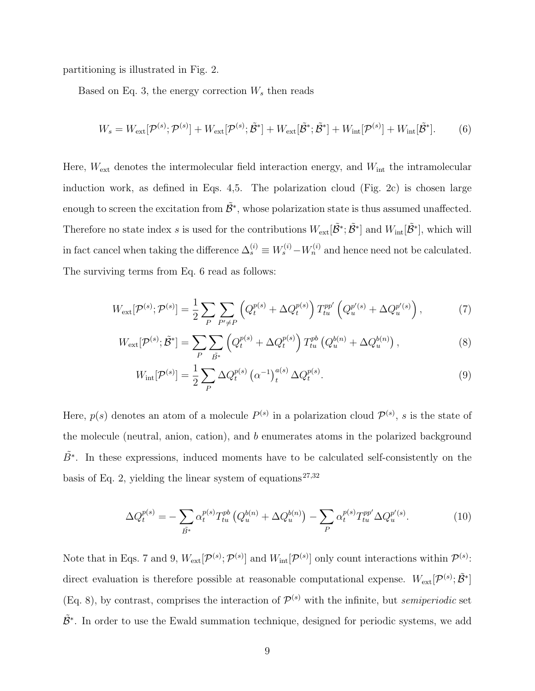partitioning is illustrated in Fig. 2.

Based on Eq. 3, the energy correction  $W_s$  then reads

$$
W_s = W_{\text{ext}}[\mathcal{P}^{(s)}; \mathcal{P}^{(s)}] + W_{\text{ext}}[\mathcal{P}^{(s)}; \tilde{\mathcal{B}}^*] + W_{\text{ext}}[\tilde{\mathcal{B}}^*; \tilde{\mathcal{B}}^*] + W_{\text{int}}[\mathcal{P}^{(s)}] + W_{\text{int}}[\tilde{\mathcal{B}}^*].
$$
 (6)

Here,  $W_{\text{ext}}$  denotes the intermolecular field interaction energy, and  $W_{\text{int}}$  the intramolecular induction work, as defined in Eqs. 4,5. The polarization cloud (Fig. 2c) is chosen large enough to screen the excitation from  $\tilde{\mathcal{B}}^*$ , whose polarization state is thus assumed unaffected. Therefore no state index s is used for the contributions  $W_{ext}[\tilde{\mathcal{B}}^*; \tilde{\mathcal{B}}^*]$  and  $W_{int}[\tilde{\mathcal{B}}^*]$ , which will in fact cancel when taking the difference  $\Delta_s^{(i)} \equiv W_s^{(i)} - W_n^{(i)}$  and hence need not be calculated. The surviving terms from Eq. 6 read as follows:

$$
W_{\text{ext}}[\mathcal{P}^{(s)}; \mathcal{P}^{(s)}] = \frac{1}{2} \sum_{P} \sum_{P' \neq P} \left( Q_t^{p(s)} + \Delta Q_t^{p(s)} \right) T_{tu}^{pp'} \left( Q_u^{p'(s)} + \Delta Q_u^{p'(s)} \right),\tag{7}
$$

$$
W_{\rm ext}[\mathcal{P}^{(s)}; \tilde{\mathcal{B}}^*] = \sum_{P} \sum_{\tilde{B}^*} \left( Q_t^{p(s)} + \Delta Q_t^{p(s)} \right) T_{tu}^{pb} \left( Q_u^{b(n)} + \Delta Q_u^{b(n)} \right),\tag{8}
$$

$$
W_{\rm int}[\mathcal{P}^{(s)}] = \frac{1}{2} \sum_{P} \Delta Q_t^{p(s)} \left( \alpha^{-1} \right)_t^{a(s)} \Delta Q_t^{p(s)}.
$$
\n(9)

Here,  $p(s)$  denotes an atom of a molecule  $P^{(s)}$  in a polarization cloud  $\mathcal{P}^{(s)}$ , s is the state of the molecule (neutral, anion, cation), and b enumerates atoms in the polarized background  $\tilde{B}^*$ . In these expressions, induced moments have to be calculated self-consistently on the basis of Eq. 2, yielding the linear system of equations<sup>27,32</sup>

$$
\Delta Q_t^{p(s)} = -\sum_{\tilde{B}^*} \alpha_t^{p(s)} T_{tu}^{pb} \left( Q_u^{b(n)} + \Delta Q_u^{b(n)} \right) - \sum_P \alpha_t^{p(s)} T_{tu}^{pp'} \Delta Q_u^{p'(s)}.
$$
\n(10)

Note that in Eqs. 7 and 9,  $W_{ext}[\mathcal{P}^{(s)}; \mathcal{P}^{(s)}]$  and  $W_{int}[\mathcal{P}^{(s)}]$  only count interactions within  $\mathcal{P}^{(s)}$ : direct evaluation is therefore possible at reasonable computational expense.  $W_{ext}[\mathcal{P}^{(s)}; \tilde{\mathcal{B}}^*]$ (Eq. 8), by contrast, comprises the interaction of  $\mathcal{P}^{(s)}$  with the infinite, but *semiperiodic* set  $\tilde{\mathcal{B}}^*$ . In order to use the Ewald summation technique, designed for periodic systems, we add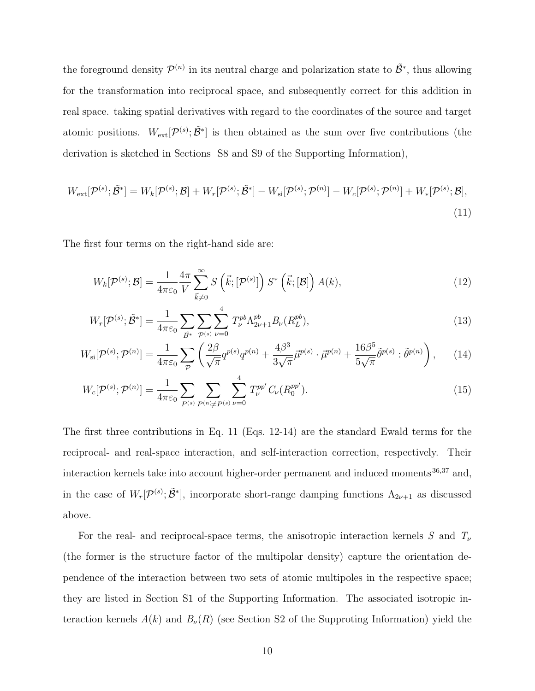the foreground density  $\mathcal{P}^{(n)}$  in its neutral charge and polarization state to  $\tilde{\mathcal{B}}^*$ , thus allowing for the transformation into reciprocal space, and subsequently correct for this addition in real space. taking spatial derivatives with regard to the coordinates of the source and target atomic positions.  $W_{ext}[\mathcal{P}^{(s)}; \tilde{\mathcal{B}}^*]$  is then obtained as the sum over five contributions (the derivation is sketched in Sections S8 and S9 of the Supporting Information),

$$
W_{\text{ext}}[\mathcal{P}^{(s)}; \tilde{\mathcal{B}}^*] = W_k[\mathcal{P}^{(s)}; \mathcal{B}] + W_r[\mathcal{P}^{(s)}; \tilde{\mathcal{B}}^*] - W_{\text{si}}[\mathcal{P}^{(s)}; \mathcal{P}^{(n)}] - W_c[\mathcal{P}^{(s)}; \mathcal{P}^{(n)}] + W_*[\mathcal{P}^{(s)}; \mathcal{B}],
$$
\n(11)

The first four terms on the right-hand side are:

$$
W_k[\mathcal{P}^{(s)};\mathcal{B}] = \frac{1}{4\pi\varepsilon_0} \frac{4\pi}{V} \sum_{\vec{k}\neq 0}^{\infty} S\left(\vec{k};[\mathcal{P}^{(s)}]\right) S^*\left(\vec{k};[\mathcal{B}]\right) A(k),\tag{12}
$$

$$
W_r[\mathcal{P}^{(s)}; \tilde{\mathcal{B}}^*] = \frac{1}{4\pi\varepsilon_0} \sum_{\tilde{B}^*} \sum_{\mathcal{P}^{(s)}} \sum_{\nu=0}^4 T_{\nu}^{pb} \Lambda_{2\nu+1}^{pb} B_{\nu}(R_L^{pb}), \tag{13}
$$

$$
W_{\rm si}[\mathcal{P}^{(s)}; \mathcal{P}^{(n)}] = \frac{1}{4\pi\varepsilon_0} \sum_{\mathcal{P}} \left( \frac{2\beta}{\sqrt{\pi}} q^{p(s)} q^{p(n)} + \frac{4\beta^3}{3\sqrt{\pi}} \vec{\mu}^{p(s)} \cdot \vec{\mu}^{p(n)} + \frac{16\beta^5}{5\sqrt{\pi}} \tilde{\theta}^{p(s)} : \tilde{\theta}^{p(n)} \right), \qquad (14)
$$

$$
W_c[\mathcal{P}^{(s)}; \mathcal{P}^{(n)}] = \frac{1}{4\pi\varepsilon_0} \sum_{P^{(s)}} \sum_{P^{(n)} \neq P^{(s)}} \sum_{\nu=0}^4 T_{\nu}^{pp'} C_{\nu}(R_0^{pp'}).
$$
 (15)

The first three contributions in Eq. 11 (Eqs. 12-14) are the standard Ewald terms for the reciprocal- and real-space interaction, and self-interaction correction, respectively. Their interaction kernels take into account higher-order permanent and induced moments  $36,37$  and, in the case of  $W_r[\mathcal{P}^{(s)}; \tilde{\mathcal{B}}^*]$ , incorporate short-range damping functions  $\Lambda_{2\nu+1}$  as discussed above.

For the real- and reciprocal-space terms, the anisotropic interaction kernels  $S$  and  $T_{\nu}$ (the former is the structure factor of the multipolar density) capture the orientation dependence of the interaction between two sets of atomic multipoles in the respective space; they are listed in Section S1 of the Supporting Information. The associated isotropic interaction kernels  $A(k)$  and  $B_{\nu}(R)$  (see Section S2 of the Supproting Information) yield the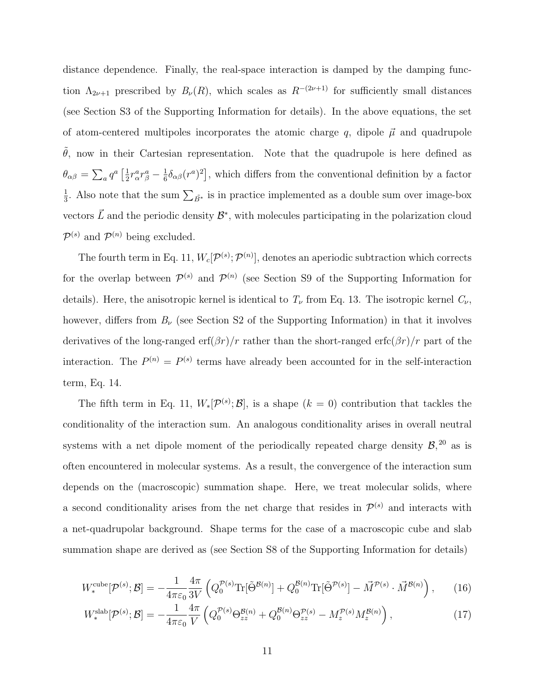distance dependence. Finally, the real-space interaction is damped by the damping function  $\Lambda_{2\nu+1}$  prescribed by  $B_{\nu}(R)$ , which scales as  $R^{-(2\nu+1)}$  for sufficiently small distances (see Section S3 of the Supporting Information for details). In the above equations, the set of atom-centered multipoles incorporates the atomic charge q, dipole  $\vec{\mu}$  and quadrupole  $\tilde{\theta}$ , now in their Cartesian representation. Note that the quadrupole is here defined as  $\theta_{\alpha\beta}=\sum_a q^a \left[\frac{1}{2}\right]$  $\frac{1}{2}r^a_\alpha r^a_\beta - \frac{1}{6}$  $\frac{1}{6} \delta_{\alpha\beta}(r^a)^2$ , which differs from the conventional definition by a factor 1  $\frac{1}{3}$ . Also note that the sum  $\sum_{\tilde{B}^*}$  is in practice implemented as a double sum over image-box vectors  $\vec{L}$  and the periodic density  $\mathcal{B}^*$ , with molecules participating in the polarization cloud  $\mathcal{P}^{(s)}$  and  $\mathcal{P}^{(n)}$  being excluded.

The fourth term in Eq. 11,  $W_c[P^{(s)};P^{(n)}]$ , denotes an aperiodic subtraction which corrects for the overlap between  $\mathcal{P}^{(s)}$  and  $\mathcal{P}^{(n)}$  (see Section S9 of the Supporting Information for details). Here, the anisotropic kernel is identical to  $T_{\nu}$  from Eq. 13. The isotropic kernel  $C_{\nu}$ , however, differs from  $B_{\nu}$  (see Section S2 of the Supporting Information) in that it involves derivatives of the long-ranged erf $(\beta r)/r$  rather than the short-ranged erfc $(\beta r)/r$  part of the interaction. The  $P^{(n)} = P^{(s)}$  terms have already been accounted for in the self-interaction term, Eq. 14.

The fifth term in Eq. 11,  $W_*[\mathcal{P}^{(s)};\mathcal{B}]$ , is a shape  $(k=0)$  contribution that tackles the conditionality of the interaction sum. An analogous conditionality arises in overall neutral systems with a net dipole moment of the periodically repeated charge density  $\mathcal{B}$ ,  $^{20}$  as is often encountered in molecular systems. As a result, the convergence of the interaction sum depends on the (macroscopic) summation shape. Here, we treat molecular solids, where a second conditionality arises from the net charge that resides in  $\mathcal{P}^{(s)}$  and interacts with a net-quadrupolar background. Shape terms for the case of a macroscopic cube and slab summation shape are derived as (see Section S8 of the Supporting Information for details)

$$
W_*^{\text{cube}}[\mathcal{P}^{(s)};\mathcal{B}] = -\frac{1}{4\pi\varepsilon_0} \frac{4\pi}{3V} \left( Q_0^{\mathcal{P}(s)} \text{Tr}[\tilde{\Theta}^{\mathcal{B}(n)}] + Q_0^{\mathcal{B}(n)} \text{Tr}[\tilde{\Theta}^{\mathcal{P}(s)}] - \vec{M}^{\mathcal{P}(s)} \cdot \vec{M}^{\mathcal{B}(n)} \right), \qquad (16)
$$

$$
W_*^{\text{slab}}[\mathcal{P}^{(s)}; \mathcal{B}] = -\frac{1}{4\pi\varepsilon_0} \frac{4\pi}{V} \left( Q_0^{\mathcal{P}(s)} \Theta_{zz}^{\mathcal{B}(n)} + Q_0^{\mathcal{B}(n)} \Theta_{zz}^{\mathcal{P}(s)} - M_z^{\mathcal{P}(s)} M_z^{\mathcal{B}(n)} \right),\tag{17}
$$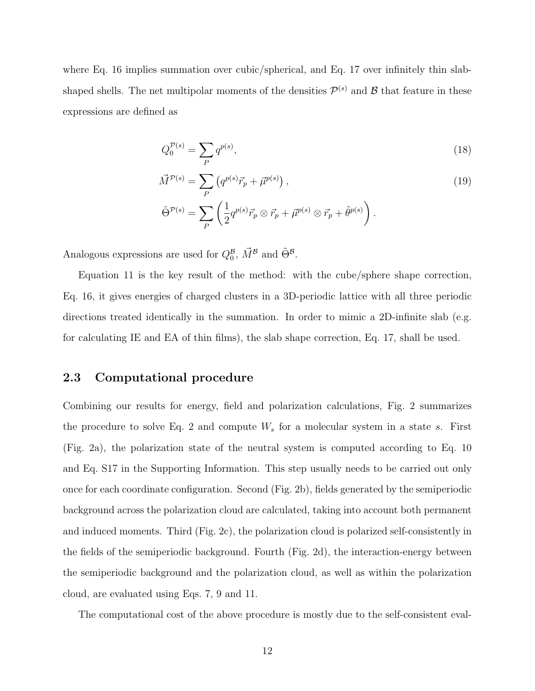where Eq. 16 implies summation over cubic/spherical, and Eq. 17 over infinitely thin slabshaped shells. The net multipolar moments of the densities  $\mathcal{P}^{(s)}$  and  $\mathcal{B}$  that feature in these expressions are defined as

$$
Q_0^{\mathcal{P}(s)} = \sum_P q^{p(s)},\tag{18}
$$

$$
\vec{M}^{\mathcal{P}(s)} = \sum_{P} \left( q^{p(s)} \vec{r}_p + \vec{\mu}^{p(s)} \right),
$$
\n
$$
\tilde{\Theta}^{\mathcal{P}(s)} = \sum_{P} \left( \frac{1}{2} q^{p(s)} \vec{r}_p \otimes \vec{r}_p + \vec{\mu}^{p(s)} \otimes \vec{r}_p + \tilde{\theta}^{p(s)} \right).
$$
\n(19)

Analogous expressions are used for  $Q_0^B$ ,  $\vec{M}^B$  and  $\tilde{\Theta}^B$ .

Equation 11 is the key result of the method: with the cube/sphere shape correction. Eq. 16, it gives energies of charged clusters in a 3D-periodic lattice with all three periodic directions treated identically in the summation. In order to mimic a 2D-infinite slab (e.g. for calculating IE and EA of thin films), the slab shape correction, Eq. 17, shall be used.

#### 2.3 Computational procedure

Combining our results for energy, field and polarization calculations, Fig. 2 summarizes the procedure to solve Eq. 2 and compute  $W_s$  for a molecular system in a state s. First (Fig. 2a), the polarization state of the neutral system is computed according to Eq. 10 and Eq. S17 in the Supporting Information. This step usually needs to be carried out only once for each coordinate configuration. Second (Fig. 2b), fields generated by the semiperiodic background across the polarization cloud are calculated, taking into account both permanent and induced moments. Third (Fig. 2c), the polarization cloud is polarized self-consistently in the fields of the semiperiodic background. Fourth (Fig. 2d), the interaction-energy between the semiperiodic background and the polarization cloud, as well as within the polarization cloud, are evaluated using Eqs. 7, 9 and 11.

The computational cost of the above procedure is mostly due to the self-consistent eval-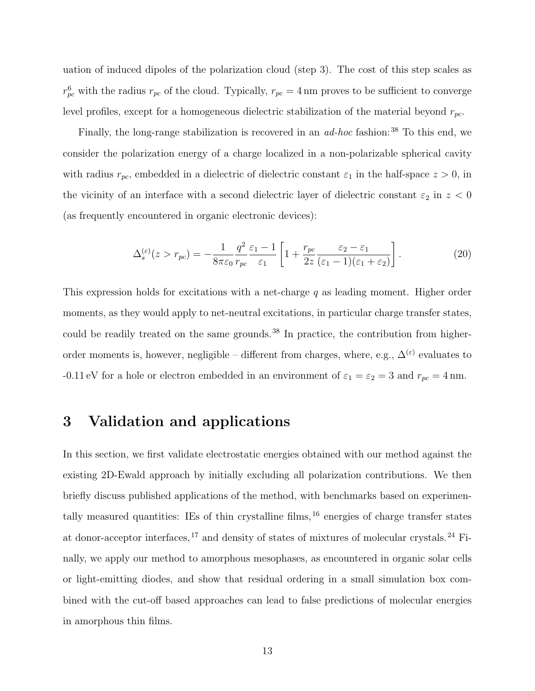uation of induced dipoles of the polarization cloud (step 3). The cost of this step scales as  $r_{pc}^6$  with the radius  $r_{pc}$  of the cloud. Typically,  $r_{pc} = 4 \,\text{nm}$  proves to be sufficient to converge level profiles, except for a homogeneous dielectric stabilization of the material beyond  $r_{pc}$ .

Finally, the long-range stabilization is recovered in an *ad-hoc* fashion:<sup>38</sup> To this end, we consider the polarization energy of a charge localized in a non-polarizable spherical cavity with radius  $r_{pc}$ , embedded in a dielectric of dielectric constant  $\varepsilon_1$  in the half-space  $z > 0$ , in the vicinity of an interface with a second dielectric layer of dielectric constant  $\varepsilon_2$  in  $z < 0$ (as frequently encountered in organic electronic devices):

$$
\Delta_s^{(\varepsilon)}(z > r_{pc}) = -\frac{1}{8\pi\varepsilon_0} \frac{q^2}{r_{pc}} \frac{\varepsilon_1 - 1}{\varepsilon_1} \left[ 1 + \frac{r_{pc}}{2z} \frac{\varepsilon_2 - \varepsilon_1}{(\varepsilon_1 - 1)(\varepsilon_1 + \varepsilon_2)} \right].
$$
\n(20)

This expression holds for excitations with a net-charge  $q$  as leading moment. Higher order moments, as they would apply to net-neutral excitations, in particular charge transfer states, could be readily treated on the same grounds.<sup>38</sup> In practice, the contribution from higherorder moments is, however, negligible – different from charges, where, e.g.,  $\Delta^{(\varepsilon)}$  evaluates to -0.11 eV for a hole or electron embedded in an environment of  $\varepsilon_1 = \varepsilon_2 = 3$  and  $r_{pc} = 4$  nm.

# 3 Validation and applications

In this section, we first validate electrostatic energies obtained with our method against the existing 2D-Ewald approach by initially excluding all polarization contributions. We then briefly discuss published applications of the method, with benchmarks based on experimentally measured quantities: IEs of thin crystalline films,  $^{16}$  energies of charge transfer states at donor-acceptor interfaces,  $^{17}$  and density of states of mixtures of molecular crystals.  $^{24}$  Finally, we apply our method to amorphous mesophases, as encountered in organic solar cells or light-emitting diodes, and show that residual ordering in a small simulation box combined with the cut-off based approaches can lead to false predictions of molecular energies in amorphous thin films.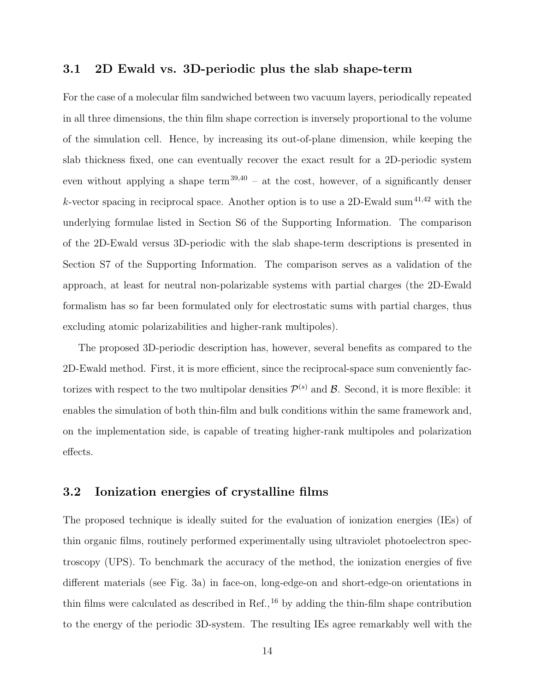#### 3.1 2D Ewald vs. 3D-periodic plus the slab shape-term

For the case of a molecular film sandwiched between two vacuum layers, periodically repeated in all three dimensions, the thin film shape correction is inversely proportional to the volume of the simulation cell. Hence, by increasing its out-of-plane dimension, while keeping the slab thickness fixed, one can eventually recover the exact result for a 2D-periodic system even without applying a shape term<sup>39,40</sup> – at the cost, however, of a significantly denser k-vector spacing in reciprocal space. Another option is to use a 2D-Ewald sum<sup>41,42</sup> with the underlying formulae listed in Section S6 of the Supporting Information. The comparison of the 2D-Ewald versus 3D-periodic with the slab shape-term descriptions is presented in Section S7 of the Supporting Information. The comparison serves as a validation of the approach, at least for neutral non-polarizable systems with partial charges (the 2D-Ewald formalism has so far been formulated only for electrostatic sums with partial charges, thus excluding atomic polarizabilities and higher-rank multipoles).

The proposed 3D-periodic description has, however, several benefits as compared to the 2D-Ewald method. First, it is more efficient, since the reciprocal-space sum conveniently factorizes with respect to the two multipolar densities  $\mathcal{P}^{(s)}$  and  $\mathcal{B}$ . Second, it is more flexible: it enables the simulation of both thin-film and bulk conditions within the same framework and, on the implementation side, is capable of treating higher-rank multipoles and polarization effects.

#### 3.2 Ionization energies of crystalline films

The proposed technique is ideally suited for the evaluation of ionization energies (IEs) of thin organic films, routinely performed experimentally using ultraviolet photoelectron spectroscopy (UPS). To benchmark the accuracy of the method, the ionization energies of five different materials (see Fig. 3a) in face-on, long-edge-on and short-edge-on orientations in thin films were calculated as described in Ref.,  $^{16}$  by adding the thin-film shape contribution to the energy of the periodic 3D-system. The resulting IEs agree remarkably well with the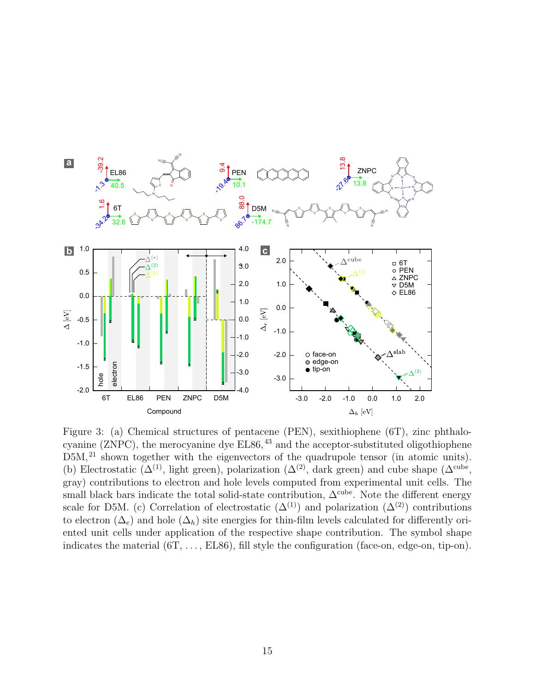

Figure 3: (a) Chemical structures of pentacene (PEN), sexithiophene (6T), zinc phthalocyanine (ZNPC), the merocyanine dye  $ELS6<sup>43</sup>$  and the acceptor-substituted oligothiophene D5M,<sup>21</sup> shown together with the eigenvectors of the quadrupole tensor (in atomic units). (b) Electrostatic ( $\Delta^{(1)}$ , light green), polarization ( $\Delta^{(2)}$ , dark green) and cube shape ( $\Delta^{\text{cube}}$ , gray) contributions to electron and hole levels computed from experimental unit cells. The small black bars indicate the total solid-state contribution,  $\Delta^{\text{cube}}$ . Note the different energy scale for D5M. (c) Correlation of electrostatic  $(\Delta^{(1)})$  and polarization  $(\Delta^{(2)})$  contributions to electron  $(\Delta_e)$  and hole  $(\Delta_h)$  site energies for thin-film levels calculated for differently oriented unit cells under application of the respective shape contribution. The symbol shape indicates the material  $(6T, \ldots, EL86)$ , fill style the configuration (face-on, edge-on, tip-on).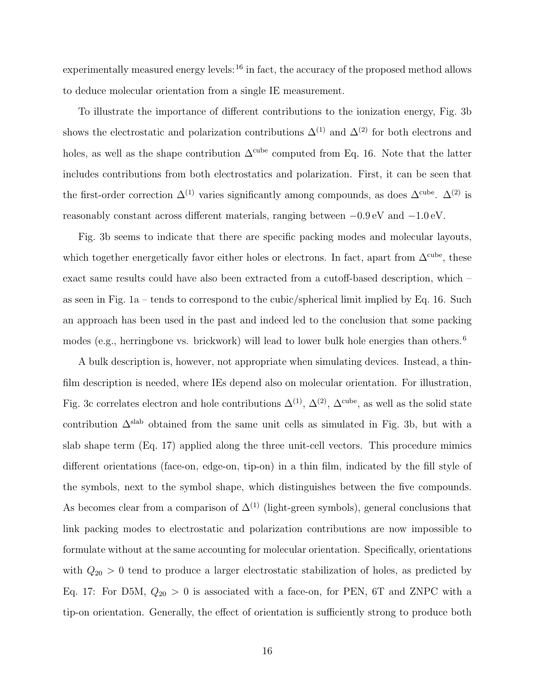experimentally measured energy levels: $16$  in fact, the accuracy of the proposed method allows to deduce molecular orientation from a single IE measurement.

To illustrate the importance of different contributions to the ionization energy, Fig. 3b shows the electrostatic and polarization contributions  $\Delta^{(1)}$  and  $\Delta^{(2)}$  for both electrons and holes, as well as the shape contribution  $\Delta^{\text{cube}}$  computed from Eq. 16. Note that the latter includes contributions from both electrostatics and polarization. First, it can be seen that the first-order correction  $\Delta^{(1)}$  varies significantly among compounds, as does  $\Delta^{\text{cube}}$ .  $\Delta^{(2)}$  is reasonably constant across different materials, ranging between −0.9 eV and −1.0 eV.

Fig. 3b seems to indicate that there are specific packing modes and molecular layouts, which together energetically favor either holes or electrons. In fact, apart from  $\Delta^{\text{cube}}$ , these exact same results could have also been extracted from a cutoff-based description, which – as seen in Fig. 1a – tends to correspond to the cubic/spherical limit implied by Eq. 16. Such an approach has been used in the past and indeed led to the conclusion that some packing modes (e.g., herringbone vs. brickwork) will lead to lower bulk hole energies than others.<sup>6</sup>

A bulk description is, however, not appropriate when simulating devices. Instead, a thinfilm description is needed, where IEs depend also on molecular orientation. For illustration, Fig. 3c correlates electron and hole contributions  $\Delta^{(1)}$ ,  $\Delta^{(2)}$ ,  $\Delta^{cube}$ , as well as the solid state contribution  $\Delta^{\text{slab}}$  obtained from the same unit cells as simulated in Fig. 3b, but with a slab shape term (Eq. 17) applied along the three unit-cell vectors. This procedure mimics different orientations (face-on, edge-on, tip-on) in a thin film, indicated by the fill style of the symbols, next to the symbol shape, which distinguishes between the five compounds. As becomes clear from a comparison of  $\Delta^{(1)}$  (light-green symbols), general conclusions that link packing modes to electrostatic and polarization contributions are now impossible to formulate without at the same accounting for molecular orientation. Specifically, orientations with  $Q_{20} > 0$  tend to produce a larger electrostatic stabilization of holes, as predicted by Eq. 17: For D5M,  $Q_{20} > 0$  is associated with a face-on, for PEN, 6T and ZNPC with a tip-on orientation. Generally, the effect of orientation is sufficiently strong to produce both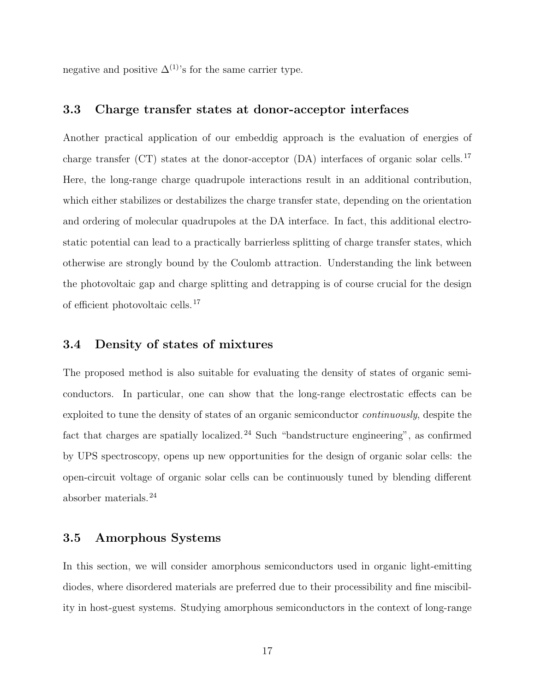negative and positive  $\Delta^{(1)}$ 's for the same carrier type.

#### 3.3 Charge transfer states at donor-acceptor interfaces

Another practical application of our embeddig approach is the evaluation of energies of charge transfer (CT) states at the donor-acceptor (DA) interfaces of organic solar cells.<sup>17</sup> Here, the long-range charge quadrupole interactions result in an additional contribution, which either stabilizes or destabilizes the charge transfer state, depending on the orientation and ordering of molecular quadrupoles at the DA interface. In fact, this additional electrostatic potential can lead to a practically barrierless splitting of charge transfer states, which otherwise are strongly bound by the Coulomb attraction. Understanding the link between the photovoltaic gap and charge splitting and detrapping is of course crucial for the design of efficient photovoltaic cells.<sup>17</sup>

#### 3.4 Density of states of mixtures

The proposed method is also suitable for evaluating the density of states of organic semiconductors. In particular, one can show that the long-range electrostatic effects can be exploited to tune the density of states of an organic semiconductor *continuously*, despite the fact that charges are spatially localized.<sup>24</sup> Such "bandstructure engineering", as confirmed by UPS spectroscopy, opens up new opportunities for the design of organic solar cells: the open-circuit voltage of organic solar cells can be continuously tuned by blending different absorber materials.<sup>24</sup>

#### 3.5 Amorphous Systems

In this section, we will consider amorphous semiconductors used in organic light-emitting diodes, where disordered materials are preferred due to their processibility and fine miscibility in host-guest systems. Studying amorphous semiconductors in the context of long-range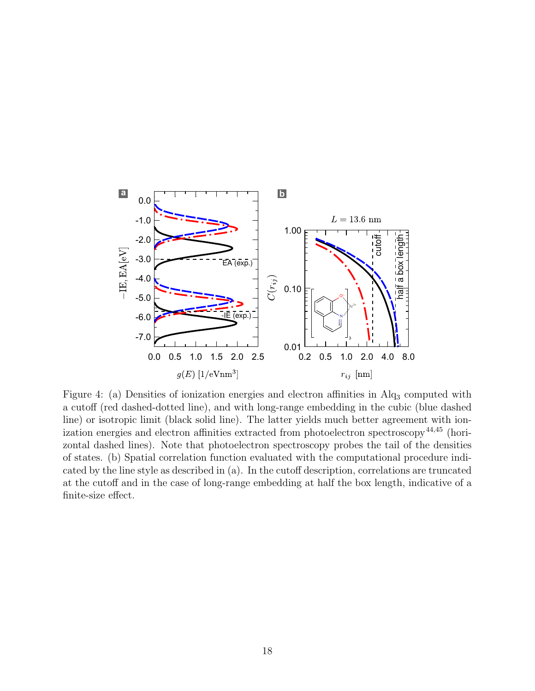

Figure 4: (a) Densities of ionization energies and electron affinities in Alq<sub>3</sub> computed with a cutoff (red dashed-dotted line), and with long-range embedding in the cubic (blue dashed line) or isotropic limit (black solid line). The latter yields much better agreement with ionization energies and electron affinities extracted from photoelectron spectroscopy<sup>44,45</sup> (horizontal dashed lines). Note that photoelectron spectroscopy probes the tail of the densities of states. (b) Spatial correlation function evaluated with the computational procedure indicated by the line style as described in (a). In the cutoff description, correlations are truncated at the cutoff and in the case of long-range embedding at half the box length, indicative of a finite-size effect.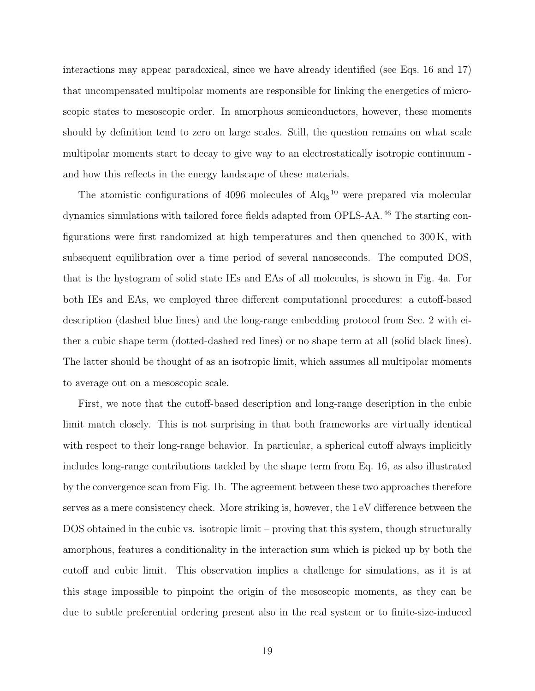interactions may appear paradoxical, since we have already identified (see Eqs. 16 and 17) that uncompensated multipolar moments are responsible for linking the energetics of microscopic states to mesoscopic order. In amorphous semiconductors, however, these moments should by definition tend to zero on large scales. Still, the question remains on what scale multipolar moments start to decay to give way to an electrostatically isotropic continuum and how this reflects in the energy landscape of these materials.

The atomistic configurations of  $4096$  molecules of  $Alq<sub>3</sub>$ <sup>10</sup> were prepared via molecular dynamics simulations with tailored force fields adapted from OPLS-AA.<sup>46</sup> The starting configurations were first randomized at high temperatures and then quenched to 300 K, with subsequent equilibration over a time period of several nanoseconds. The computed DOS, that is the hystogram of solid state IEs and EAs of all molecules, is shown in Fig. 4a. For both IEs and EAs, we employed three different computational procedures: a cutoff-based description (dashed blue lines) and the long-range embedding protocol from Sec. 2 with either a cubic shape term (dotted-dashed red lines) or no shape term at all (solid black lines). The latter should be thought of as an isotropic limit, which assumes all multipolar moments to average out on a mesoscopic scale.

First, we note that the cutoff-based description and long-range description in the cubic limit match closely. This is not surprising in that both frameworks are virtually identical with respect to their long-range behavior. In particular, a spherical cutoff always implicitly includes long-range contributions tackled by the shape term from Eq. 16, as also illustrated by the convergence scan from Fig. 1b. The agreement between these two approaches therefore serves as a mere consistency check. More striking is, however, the 1 eV difference between the DOS obtained in the cubic vs. isotropic limit – proving that this system, though structurally amorphous, features a conditionality in the interaction sum which is picked up by both the cutoff and cubic limit. This observation implies a challenge for simulations, as it is at this stage impossible to pinpoint the origin of the mesoscopic moments, as they can be due to subtle preferential ordering present also in the real system or to finite-size-induced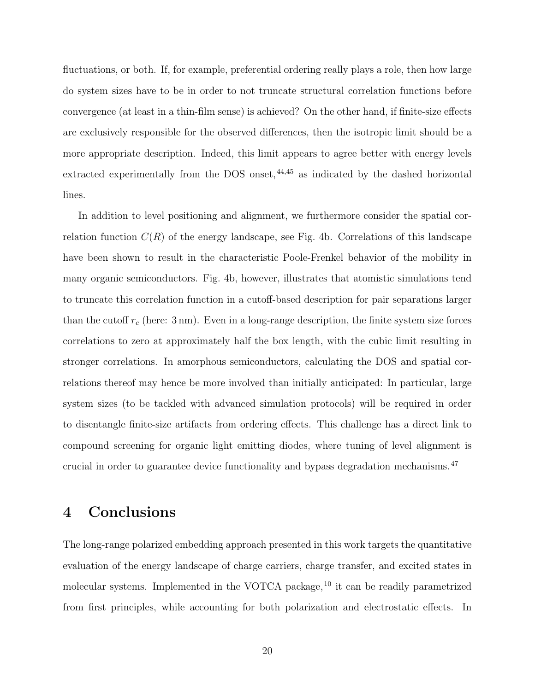fluctuations, or both. If, for example, preferential ordering really plays a role, then how large do system sizes have to be in order to not truncate structural correlation functions before convergence (at least in a thin-film sense) is achieved? On the other hand, if finite-size effects are exclusively responsible for the observed differences, then the isotropic limit should be a more appropriate description. Indeed, this limit appears to agree better with energy levels extracted experimentally from the DOS onset, $44,45$  as indicated by the dashed horizontal lines.

In addition to level positioning and alignment, we furthermore consider the spatial correlation function  $C(R)$  of the energy landscape, see Fig. 4b. Correlations of this landscape have been shown to result in the characteristic Poole-Frenkel behavior of the mobility in many organic semiconductors. Fig. 4b, however, illustrates that atomistic simulations tend to truncate this correlation function in a cutoff-based description for pair separations larger than the cutoff  $r_c$  (here: 3 nm). Even in a long-range description, the finite system size forces correlations to zero at approximately half the box length, with the cubic limit resulting in stronger correlations. In amorphous semiconductors, calculating the DOS and spatial correlations thereof may hence be more involved than initially anticipated: In particular, large system sizes (to be tackled with advanced simulation protocols) will be required in order to disentangle finite-size artifacts from ordering effects. This challenge has a direct link to compound screening for organic light emitting diodes, where tuning of level alignment is crucial in order to guarantee device functionality and bypass degradation mechanisms.<sup>47</sup>

### 4 Conclusions

The long-range polarized embedding approach presented in this work targets the quantitative evaluation of the energy landscape of charge carriers, charge transfer, and excited states in molecular systems. Implemented in the VOTCA package,  $^{10}$  it can be readily parametrized from first principles, while accounting for both polarization and electrostatic effects. In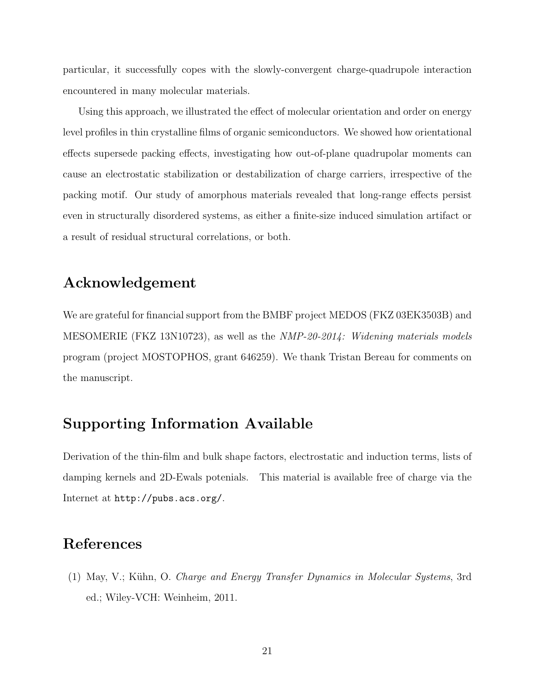particular, it successfully copes with the slowly-convergent charge-quadrupole interaction encountered in many molecular materials.

Using this approach, we illustrated the effect of molecular orientation and order on energy level profiles in thin crystalline films of organic semiconductors. We showed how orientational effects supersede packing effects, investigating how out-of-plane quadrupolar moments can cause an electrostatic stabilization or destabilization of charge carriers, irrespective of the packing motif. Our study of amorphous materials revealed that long-range effects persist even in structurally disordered systems, as either a finite-size induced simulation artifact or a result of residual structural correlations, or both.

#### Acknowledgement

We are grateful for financial support from the BMBF project MEDOS (FKZ 03EK3503B) and MESOMERIE (FKZ 13N10723), as well as the *NMP-20-2014: Widening materials models* program (project MOSTOPHOS, grant 646259). We thank Tristan Bereau for comments on the manuscript.

#### Supporting Information Available

Derivation of the thin-film and bulk shape factors, electrostatic and induction terms, lists of damping kernels and 2D-Ewals potenials. This material is available free of charge via the Internet at http://pubs.acs.org/.

### References

(1) May, V.; K¨uhn, O. *Charge and Energy Transfer Dynamics in Molecular Systems*, 3rd ed.; Wiley-VCH: Weinheim, 2011.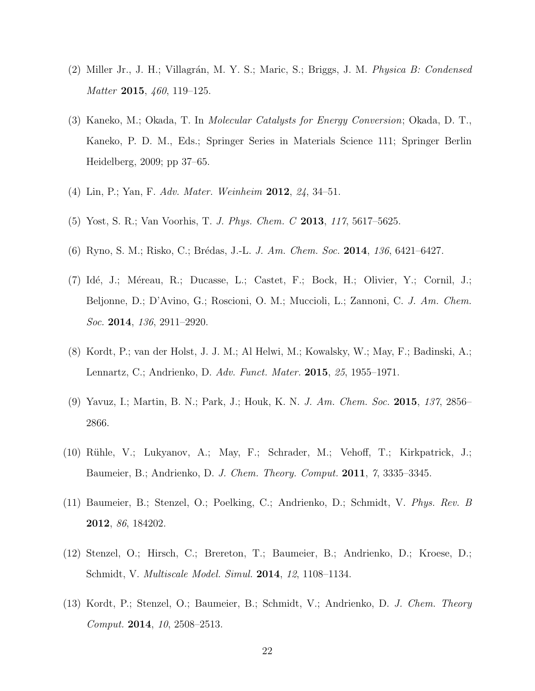- (2) Miller Jr., J. H.; Villagr´an, M. Y. S.; Maric, S.; Briggs, J. M. *Physica B: Condensed Matter* 2015, *460*, 119–125.
- (3) Kaneko, M.; Okada, T. In *Molecular Catalysts for Energy Conversion*; Okada, D. T., Kaneko, P. D. M., Eds.; Springer Series in Materials Science 111; Springer Berlin Heidelberg, 2009; pp 37–65.
- (4) Lin, P.; Yan, F. *Adv. Mater. Weinheim* 2012, *24*, 34–51.
- (5) Yost, S. R.; Van Voorhis, T. *J. Phys. Chem. C* 2013, *117*, 5617–5625.
- (6) Ryno, S. M.; Risko, C.; Br´edas, J.-L. *J. Am. Chem. Soc.* 2014, *136*, 6421–6427.
- (7) Id´e, J.; M´ereau, R.; Ducasse, L.; Castet, F.; Bock, H.; Olivier, Y.; Cornil, J.; Beljonne, D.; D'Avino, G.; Roscioni, O. M.; Muccioli, L.; Zannoni, C. *J. Am. Chem. Soc.* 2014, *136*, 2911–2920.
- (8) Kordt, P.; van der Holst, J. J. M.; Al Helwi, M.; Kowalsky, W.; May, F.; Badinski, A.; Lennartz, C.; Andrienko, D. *Adv. Funct. Mater.* 2015, *25*, 1955–1971.
- (9) Yavuz, I.; Martin, B. N.; Park, J.; Houk, K. N. *J. Am. Chem. Soc.* 2015, *137*, 2856– 2866.
- (10) R¨uhle, V.; Lukyanov, A.; May, F.; Schrader, M.; Vehoff, T.; Kirkpatrick, J.; Baumeier, B.; Andrienko, D. *J. Chem. Theory. Comput.* 2011, *7*, 3335–3345.
- (11) Baumeier, B.; Stenzel, O.; Poelking, C.; Andrienko, D.; Schmidt, V. *Phys. Rev. B* 2012, *86*, 184202.
- (12) Stenzel, O.; Hirsch, C.; Brereton, T.; Baumeier, B.; Andrienko, D.; Kroese, D.; Schmidt, V. *Multiscale Model. Simul.* 2014, *12*, 1108–1134.
- (13) Kordt, P.; Stenzel, O.; Baumeier, B.; Schmidt, V.; Andrienko, D. *J. Chem. Theory Comput.* 2014, *10*, 2508–2513.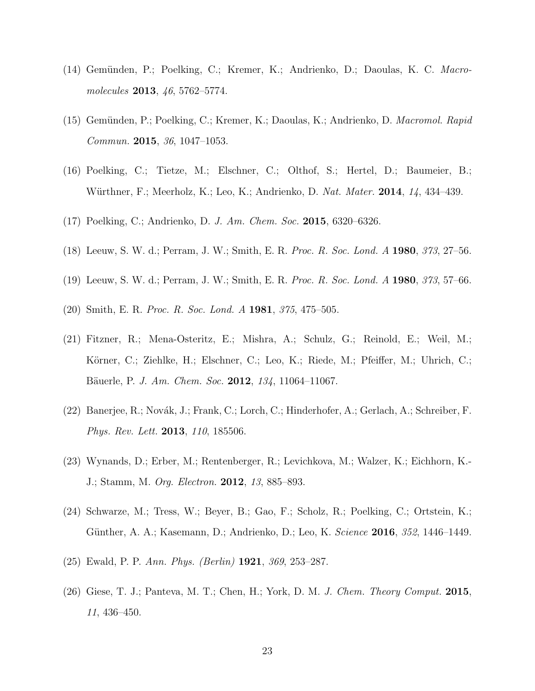- (14) Gemünden, P.; Poelking, C.; Kremer, K.; Andrienko, D.; Daoulas, K. C. *Macromolecules* 2013, *46*, 5762–5774.
- (15) Gem¨unden, P.; Poelking, C.; Kremer, K.; Daoulas, K.; Andrienko, D. *Macromol. Rapid Commun.* 2015, *36*, 1047–1053.
- (16) Poelking, C.; Tietze, M.; Elschner, C.; Olthof, S.; Hertel, D.; Baumeier, B.; W¨urthner, F.; Meerholz, K.; Leo, K.; Andrienko, D. *Nat. Mater.* 2014, *14*, 434–439.
- (17) Poelking, C.; Andrienko, D. *J. Am. Chem. Soc.* 2015, 6320–6326.
- (18) Leeuw, S. W. d.; Perram, J. W.; Smith, E. R. *Proc. R. Soc. Lond. A* 1980, *373*, 27–56.
- (19) Leeuw, S. W. d.; Perram, J. W.; Smith, E. R. *Proc. R. Soc. Lond. A* 1980, *373*, 57–66.
- (20) Smith, E. R. *Proc. R. Soc. Lond. A* 1981, *375*, 475–505.
- (21) Fitzner, R.; Mena-Osteritz, E.; Mishra, A.; Schulz, G.; Reinold, E.; Weil, M.; Körner, C.; Ziehlke, H.; Elschner, C.; Leo, K.; Riede, M.; Pfeiffer, M.; Uhrich, C.; B¨auerle, P. *J. Am. Chem. Soc.* 2012, *134*, 11064–11067.
- (22) Banerjee, R.; Novák, J.; Frank, C.; Lorch, C.; Hinderhofer, A.; Gerlach, A.; Schreiber, F. *Phys. Rev. Lett.* 2013, *110*, 185506.
- (23) Wynands, D.; Erber, M.; Rentenberger, R.; Levichkova, M.; Walzer, K.; Eichhorn, K.- J.; Stamm, M. *Org. Electron.* 2012, *13*, 885–893.
- (24) Schwarze, M.; Tress, W.; Beyer, B.; Gao, F.; Scholz, R.; Poelking, C.; Ortstein, K.; G¨unther, A. A.; Kasemann, D.; Andrienko, D.; Leo, K. *Science* 2016, *352*, 1446–1449.
- (25) Ewald, P. P. *Ann. Phys. (Berlin)* 1921, *369*, 253–287.
- (26) Giese, T. J.; Panteva, M. T.; Chen, H.; York, D. M. *J. Chem. Theory Comput.* 2015, *11*, 436–450.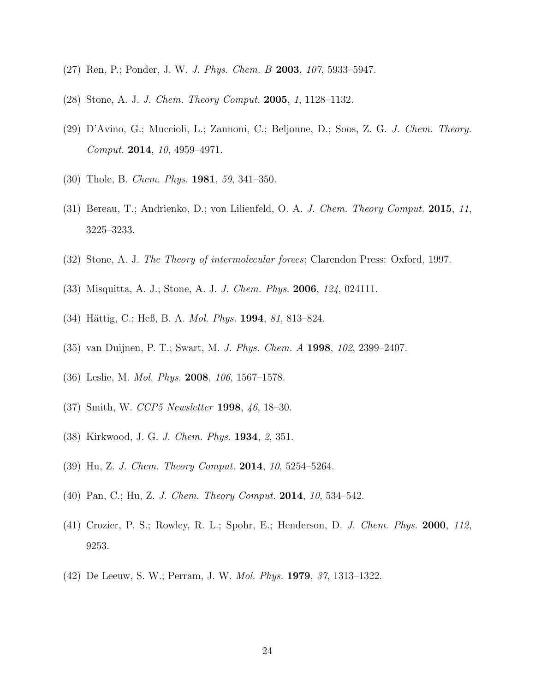- (27) Ren, P.; Ponder, J. W. *J. Phys. Chem. B* 2003, *107*, 5933–5947.
- (28) Stone, A. J. *J. Chem. Theory Comput.* 2005, *1*, 1128–1132.
- (29) D'Avino, G.; Muccioli, L.; Zannoni, C.; Beljonne, D.; Soos, Z. G. *J. Chem. Theory. Comput.* 2014, *10*, 4959–4971.
- (30) Thole, B. *Chem. Phys.* 1981, *59*, 341–350.
- (31) Bereau, T.; Andrienko, D.; von Lilienfeld, O. A. *J. Chem. Theory Comput.* 2015, *11*, 3225–3233.
- (32) Stone, A. J. *The Theory of intermolecular forces*; Clarendon Press: Oxford, 1997.
- (33) Misquitta, A. J.; Stone, A. J. *J. Chem. Phys.* 2006, *124*, 024111.
- (34) Hättig, C.; Heß, B. A. *Mol. Phys.* **1994**, 81, 813–824.
- (35) van Duijnen, P. T.; Swart, M. *J. Phys. Chem. A* 1998, *102*, 2399–2407.
- (36) Leslie, M. *Mol. Phys.* 2008, *106*, 1567–1578.
- (37) Smith, W. *CCP5 Newsletter* 1998, *46*, 18–30.
- (38) Kirkwood, J. G. *J. Chem. Phys.* 1934, *2*, 351.
- (39) Hu, Z. *J. Chem. Theory Comput.* 2014, *10*, 5254–5264.
- (40) Pan, C.; Hu, Z. *J. Chem. Theory Comput.* 2014, *10*, 534–542.
- (41) Crozier, P. S.; Rowley, R. L.; Spohr, E.; Henderson, D. *J. Chem. Phys.* 2000, *112*, 9253.
- (42) De Leeuw, S. W.; Perram, J. W. *Mol. Phys.* 1979, *37*, 1313–1322.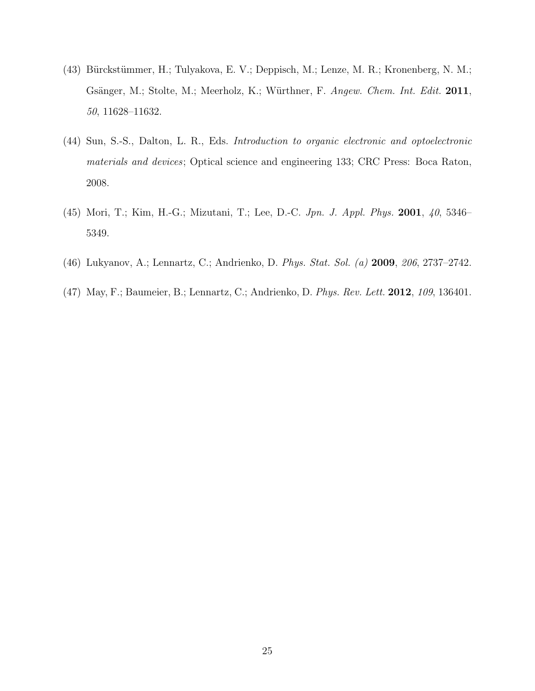- (43) Bürckstümmer, H.; Tulyakova, E. V.; Deppisch, M.; Lenze, M. R.; Kronenberg, N. M.; Gsänger, M.; Stolte, M.; Meerholz, K.; Würthner, F. *Angew. Chem. Int. Edit.* 2011, *50*, 11628–11632.
- (44) Sun, S.-S., Dalton, L. R., Eds. *Introduction to organic electronic and optoelectronic materials and devices*; Optical science and engineering 133; CRC Press: Boca Raton, 2008.
- (45) Mori, T.; Kim, H.-G.; Mizutani, T.; Lee, D.-C. *Jpn. J. Appl. Phys.* 2001, *40*, 5346– 5349.
- (46) Lukyanov, A.; Lennartz, C.; Andrienko, D. *Phys. Stat. Sol. (a)* 2009, *206*, 2737–2742.
- (47) May, F.; Baumeier, B.; Lennartz, C.; Andrienko, D. *Phys. Rev. Lett.* 2012, *109*, 136401.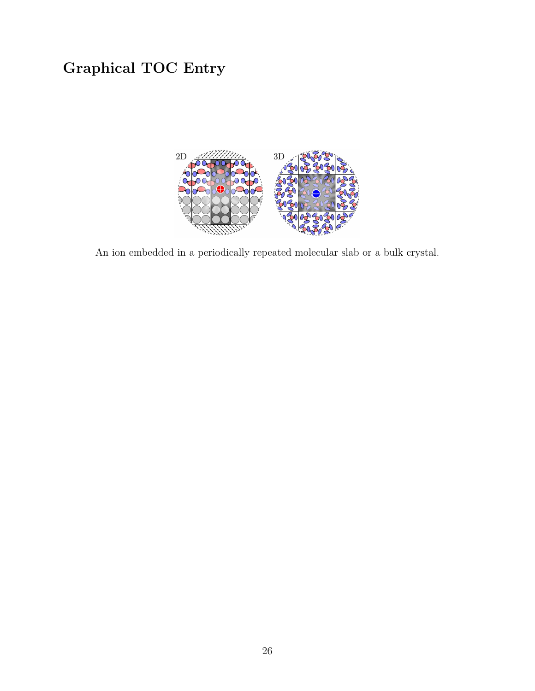# Graphical TOC Entry



An ion embedded in a periodically repeated molecular slab or a bulk crystal.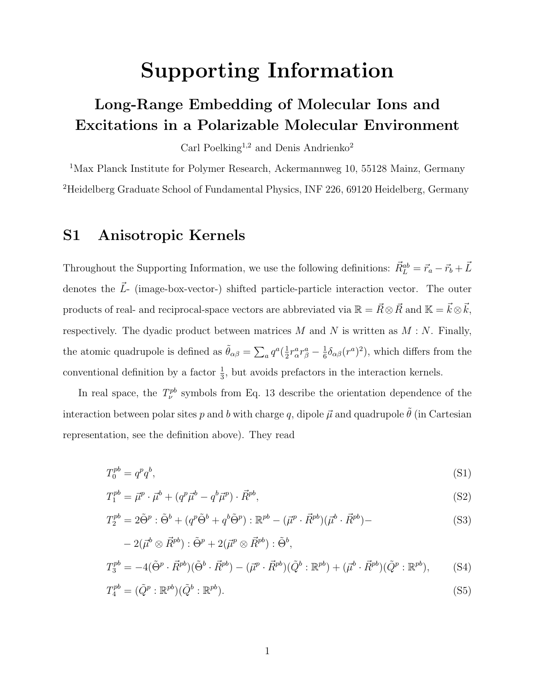# Supporting Information

# Long-Range Embedding of Molecular Ions and Excitations in a Polarizable Molecular Environment

Carl Poelking<sup>1,2</sup> and Denis Andrienko<sup>2</sup>

<sup>1</sup>Max Planck Institute for Polymer Research, Ackermannweg 10, 55128 Mainz, Germany <sup>2</sup>Heidelberg Graduate School of Fundamental Physics, INF 226, 69120 Heidelberg, Germany

### S1 Anisotropic Kernels

Throughout the Supporting Information, we use the following definitions:  $\vec{R}_{L}^{ab} = \vec{r}_a - \vec{r}_b + \vec{L}$ denotes the  $\vec{L}$ - (image-box-vector-) shifted particle-particle interaction vector. The outer products of real- and reciprocal-space vectors are abbreviated via  $\mathbb{R} = \vec{R} \otimes \vec{R}$  and  $\mathbb{K} = \vec{k} \otimes \vec{k}$ , respectively. The dyadic product between matrices  $M$  and  $N$  is written as  $M : N$ . Finally, the atomic quadrupole is defined as  $\tilde{\theta}_{\alpha\beta} = \sum_a q^a(\frac{1}{2})$  $\frac{1}{2}r^a_\alpha r^a_\beta - \frac{1}{6}$  $\frac{1}{6} \delta_{\alpha\beta}(r^a)^2$ , which differs from the conventional definition by a factor  $\frac{1}{3}$ , but avoids prefactors in the interaction kernels.

In real space, the  $T_{\nu}^{pb}$  symbols from Eq. 13 describe the orientation dependence of the interaction between polar sites p and b with charge q, dipole  $\vec{\mu}$  and quadrupole  $\tilde{\theta}$  (in Cartesian representation, see the definition above). They read

$$
T_0^{pb} = q^p q^b,\tag{S1}
$$

$$
T_1^{pb} = \vec{\mu}^p \cdot \vec{\mu}^b + (q^p \vec{\mu}^b - q^b \vec{\mu}^p) \cdot \vec{R}^{pb},\tag{S2}
$$

$$
T_2^{pb} = 2\tilde{\Theta}^p : \tilde{\Theta}^b + (q^p \tilde{\Theta}^b + q^b \tilde{\Theta}^p) : \mathbb{R}^{pb} - (\vec{\mu}^p \cdot \vec{R}^{pb})(\vec{\mu}^b \cdot \vec{R}^{pb}) -
$$
\n(S3)

$$
-2(\vec{\mu}^b \otimes \vec{R}^{pb}) : \tilde{\Theta}^p + 2(\vec{\mu}^p \otimes \vec{R}^{pb}) : \tilde{\Theta}^b,
$$
  

$$
T_3^{pb} = -4(\tilde{\Theta}^p \cdot \vec{R}^{pb})(\tilde{\Theta}^b \cdot \vec{R}^{pb}) - (\vec{\mu}^p \cdot \vec{R}^{pb})(\tilde{Q}^b : \mathbb{R}^{pb}) + (\vec{\mu}^b \cdot \vec{R}^{pb})(\tilde{Q}^p : \mathbb{R}^{pb}),
$$
 (S4)

$$
T_4^{pb} = (\tilde{Q}^p : \mathbb{R}^{pb})(\tilde{Q}^b : \mathbb{R}^{pb}).
$$
\n
$$
(S5)
$$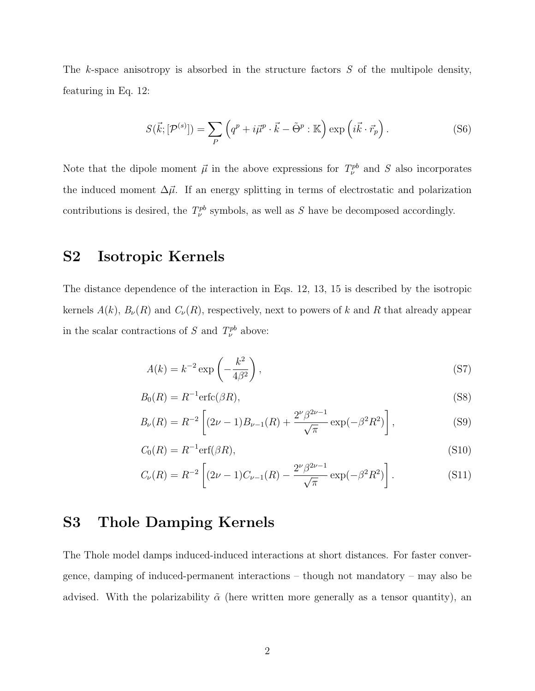The k-space anisotropy is absorbed in the structure factors *S* of the multipole density, featuring in Eq. 12:

$$
S(\vec{k};[\mathcal{P}^{(s)}]) = \sum_{P} \left( q^p + i\vec{\mu}^p \cdot \vec{k} - \tilde{\Theta}^p : \mathbb{K} \right) \exp\left(i\vec{k} \cdot \vec{r}_p\right).
$$
 (S6)

Note that the dipole moment  $\vec{\mu}$  in the above expressions for  $T_{\nu}^{pb}$  and *S* also incorporates the induced moment  $\Delta \vec{\mu}$ . If an energy splitting in terms of electrostatic and polarization contributions is desired, the  $T_{\nu}^{pb}$  symbols, as well as *S* have be decomposed accordingly.

#### S2 Isotropic Kernels

The distance dependence of the interaction in Eqs. 12, 13, 15 is described by the isotropic kernels  $A(k)$ ,  $B_{\nu}(R)$  and  $C_{\nu}(R)$ , respectively, next to powers of k and R that already appear in the scalar contractions of *S* and  $T_{\nu}^{pb}$  above:

$$
A(k) = k^{-2} \exp\left(-\frac{k^2}{4\beta^2}\right),\tag{S7}
$$

$$
B_0(R) = R^{-1} \text{erfc}(\beta R),\tag{S8}
$$

$$
B_{\nu}(R) = R^{-2} \left[ (2\nu - 1) B_{\nu - 1}(R) + \frac{2^{\nu} \beta^{2\nu - 1}}{\sqrt{\pi}} \exp(-\beta^2 R^2) \right],
$$
 (S9)

$$
C_0(R) = R^{-1}\text{erf}(\beta R),\tag{S10}
$$

$$
C_{\nu}(R) = R^{-2} \left[ (2\nu - 1)C_{\nu - 1}(R) - \frac{2^{\nu}\beta^{2\nu - 1}}{\sqrt{\pi}} \exp(-\beta^2 R^2) \right].
$$
 (S11)

# S3 Thole Damping Kernels

The Thole model damps induced-induced interactions at short distances. For faster convergence, damping of induced-permanent interactions – though not mandatory – may also be advised. With the polarizability  $\tilde{\alpha}$  (here written more generally as a tensor quantity), an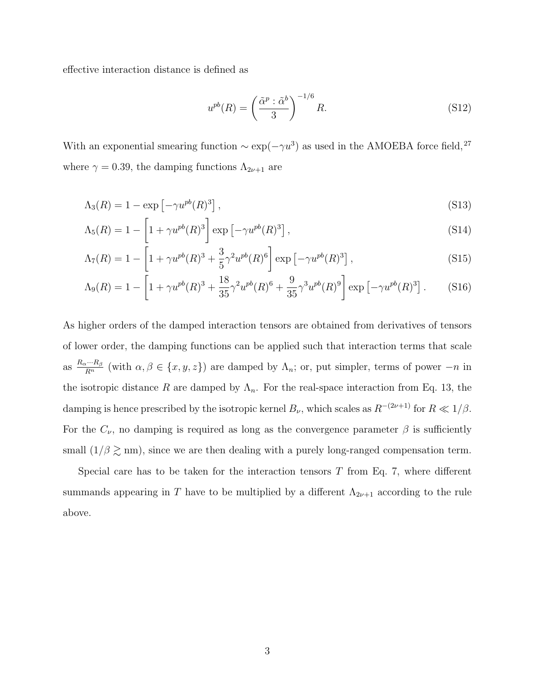effective interaction distance is defined as

$$
u^{pb}(R) = \left(\frac{\tilde{\alpha}^p : \tilde{\alpha}^b}{3}\right)^{-1/6} R. \tag{S12}
$$

With an exponential smearing function  $\sim \exp(-\gamma u^3)$  as used in the AMOEBA force field,<sup>27</sup> where  $\gamma = 0.39$ , the damping functions  $\Lambda_{2\nu+1}$  are

$$
\Lambda_3(R) = 1 - \exp\left[-\gamma u^{pb}(R)^3\right],\tag{S13}
$$

$$
\Lambda_5(R) = 1 - \left[1 + \gamma u^{pb}(R)^3\right] \exp\left[-\gamma u^{pb}(R)^3\right],\tag{S14}
$$

$$
\Lambda_7(R) = 1 - \left[ 1 + \gamma u^{pb}(R)^3 + \frac{3}{5} \gamma^2 u^{pb}(R)^6 \right] \exp\left[ -\gamma u^{pb}(R)^3 \right],\tag{S15}
$$

$$
\Lambda_9(R) = 1 - \left[ 1 + \gamma u^{pb}(R)^3 + \frac{18}{35} \gamma^2 u^{pb}(R)^6 + \frac{9}{35} \gamma^3 u^{pb}(R)^9 \right] \exp\left[ -\gamma u^{pb}(R)^3 \right]. \tag{S16}
$$

As higher orders of the damped interaction tensors are obtained from derivatives of tensors of lower order, the damping functions can be applied such that interaction terms that scale as  $\frac{R_{\alpha}\cdots R_{\beta}}{R^{n}}$  (with  $\alpha, \beta \in \{x, y, z\}$ ) are damped by  $\Lambda_n$ ; or, put simpler, terms of power  $-n$  in the isotropic distance R are damped by  $\Lambda_n$ . For the real-space interaction from Eq. 13, the damping is hence prescribed by the isotropic kernel  $B_{\nu}$ , which scales as  $R^{-(2\nu+1)}$  for  $R \ll 1/\beta$ . For the  $C_{\nu}$ , no damping is required as long as the convergence parameter  $\beta$  is sufficiently small  $(1/\beta \gtrsim nm)$ , since we are then dealing with a purely long-ranged compensation term.

Special care has to be taken for the interaction tensors  $T$  from Eq. 7, where different summands appearing in T have to be multiplied by a different  $\Lambda_{2\nu+1}$  according to the rule above.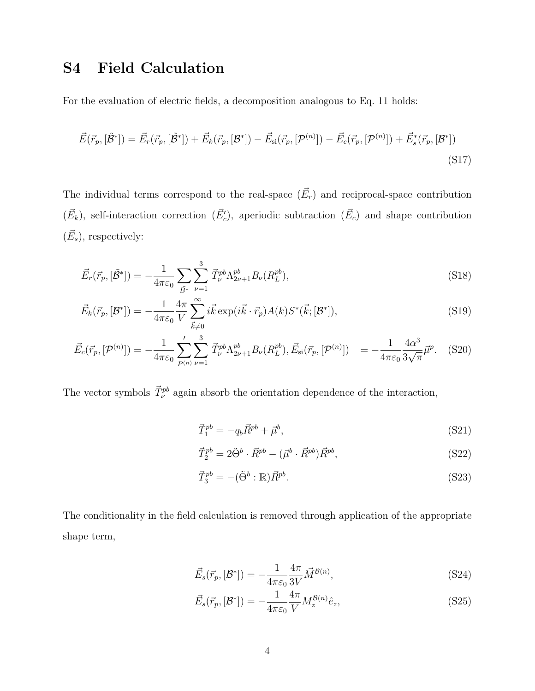# S4 Field Calculation

For the evaluation of electric fields, a decomposition analogous to Eq. 11 holds:

$$
\vec{E}(\vec{r}_p, [\tilde{\mathcal{B}}^*]) = \vec{E}_r(\vec{r}_p, [\tilde{\mathcal{B}}^*]) + \vec{E}_k(\vec{r}_p, [\mathcal{B}^*]) - \vec{E}_{\text{si}}(\vec{r}_p, [\mathcal{P}^{(n)}]) - \vec{E}_c(\vec{r}_p, [\mathcal{P}^{(n)}]) + \vec{E}_s^*(\vec{r}_p, [\mathcal{B}^*])
$$
\n(S17)

The individual terms correspond to the real-space  $(\vec{E}_r)$  and reciprocal-space contribution  $(\vec{E}_k)$ , self-interaction correction  $(\vec{E}'_c)$ , aperiodic subtraction  $(\vec{E}_c)$  and shape contribution  $(\vec{E}_s)$ , respectively:

$$
\vec{E}_r(\vec{r}_p, [\tilde{\mathcal{B}}^*]) = -\frac{1}{4\pi\varepsilon_0} \sum_{\vec{B}^*} \sum_{\nu=1}^3 \vec{T}_{\nu}^{pb} \Lambda_{2\nu+1}^{pb} B_{\nu}(R_L^{pb}), \tag{S18}
$$

$$
\vec{E}_k(\vec{r}_p, [\mathcal{B}^*]) = -\frac{1}{4\pi\varepsilon_0} \frac{4\pi}{V} \sum_{\vec{k}\neq 0}^{\infty} i\vec{k} \exp(i\vec{k}\cdot\vec{r}_p) A(k) S^*(\vec{k}; [\mathcal{B}^*]),
$$
\n(S19)

$$
\vec{E}_c(\vec{r}_p, [\mathcal{P}^{(n)}]) = -\frac{1}{4\pi\varepsilon_0} \sum_{P^{(n)}}' \sum_{\nu=1}^3 \vec{T}_{\nu}^{pb} \Lambda_{2\nu+1}^{pb} B_{\nu}(R_L^{pb}), \vec{E}_{\rm si}(\vec{r}_p, [\mathcal{P}^{(n)}]) = -\frac{1}{4\pi\varepsilon_0} \frac{4\alpha^3}{3\sqrt{\pi}} \vec{\mu}^p. \tag{S20}
$$

The vector symbols  $\vec{T}_{\nu}^{pb}$  again absorb the orientation dependence of the interaction,

$$
\vec{T}_1^{pb} = -q_b \vec{R}^{pb} + \vec{\mu}^b,\tag{S21}
$$

$$
\vec{T}_2^{pb} = 2\tilde{\Theta}^b \cdot \vec{R}^{pb} - (\vec{\mu}^b \cdot \vec{R}^{pb})\vec{R}^{pb},\tag{S22}
$$

$$
\vec{T}_3^{pb} = -(\tilde{\Theta}^b : \mathbb{R}) \vec{R}^{pb}.
$$
\n
$$
(S23)
$$

The conditionality in the field calculation is removed through application of the appropriate shape term,

$$
\vec{E}_s(\vec{r}_p, [\mathcal{B}^*]) = -\frac{1}{4\pi\varepsilon_0} \frac{4\pi}{3V} \vec{M}^{\mathcal{B}(n)},\tag{S24}
$$

$$
\vec{E}_s(\vec{r}_p, [\mathcal{B}^*]) = -\frac{1}{4\pi\varepsilon_0} \frac{4\pi}{V} M_z^{\mathcal{B}(n)} \hat{e}_z,
$$
\n(S25)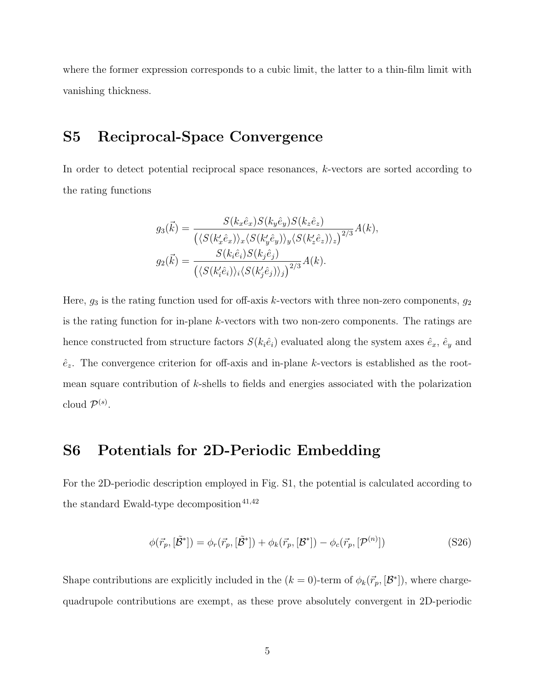where the former expression corresponds to a cubic limit, the latter to a thin-film limit with vanishing thickness.

# S5 Reciprocal-Space Convergence

In order to detect potential reciprocal space resonances, k-vectors are sorted according to the rating functions

$$
g_3(\vec{k}) = \frac{S(k_x \hat{e}_x)S(k_y \hat{e}_y)S(k_z \hat{e}_z)}{(\langle S(k'_x \hat{e}_x) \rangle_x \langle S(k'_y \hat{e}_y) \rangle_y \langle S(k'_z \hat{e}_z) \rangle_z)^{2/3}} A(k),
$$
  

$$
g_2(\vec{k}) = \frac{S(k_i \hat{e}_i)S(k_j \hat{e}_j)}{(\langle S(k'_i \hat{e}_i) \rangle_i \langle S(k'_j \hat{e}_j) \rangle_j)^{2/3}} A(k).
$$

Here,  $g_3$  is the rating function used for off-axis k-vectors with three non-zero components,  $g_2$ is the rating function for in-plane k-vectors with two non-zero components. The ratings are hence constructed from structure factors  $S(k_i \hat{e}_i)$  evaluated along the system axes  $\hat{e}_x$ ,  $\hat{e}_y$  and  $\hat{e}_z$ . The convergence criterion for off-axis and in-plane k-vectors is established as the rootmean square contribution of k-shells to fields and energies associated with the polarization cloud  $\mathcal{P}^{(s)}$ .

### S6 Potentials for 2D-Periodic Embedding

For the 2D-periodic description employed in Fig. S1, the potential is calculated according to the standard Ewald-type decomposition<sup>41,42</sup>

$$
\phi(\vec{r}_p, [\tilde{\mathcal{B}}^*]) = \phi_r(\vec{r}_p, [\tilde{\mathcal{B}}^*]) + \phi_k(\vec{r}_p, [\mathcal{B}^*]) - \phi_c(\vec{r}_p, [\mathcal{P}^{(n)}])
$$
\n(S26)

Shape contributions are explicitly included in the  $(k = 0)$ -term of  $\phi_k(\vec{r}_p, [\mathcal{B}^*])$ , where chargequadrupole contributions are exempt, as these prove absolutely convergent in 2D-periodic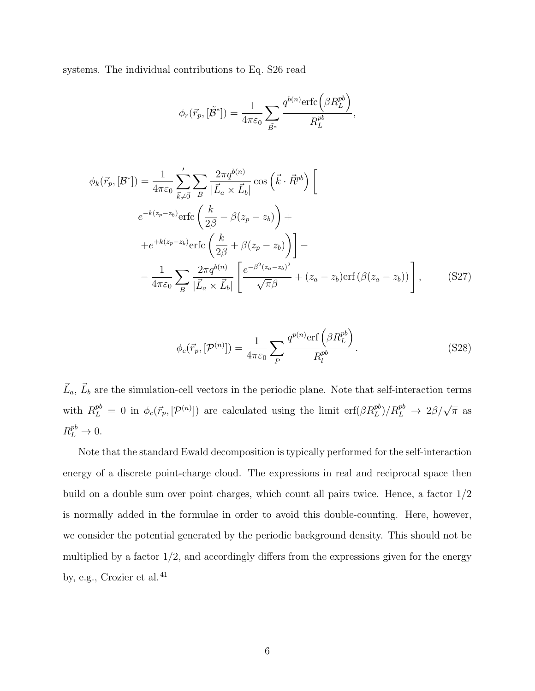systems. The individual contributions to Eq. S26 read

$$
\phi_r(\vec{r}_p, [\tilde{\mathcal{B}}^*]) = \frac{1}{4\pi\varepsilon_0} \sum_{\tilde{B}^*} \frac{q^{b(n)} \text{erfc}\left(\beta R_L^{pb}\right)}{R_L^{pb}},
$$

$$
\phi_k(\vec{r}_p, [\mathcal{B}^*]) = \frac{1}{4\pi\varepsilon_0} \sum_{\vec{k}\neq\vec{0}}' \sum_B \frac{2\pi q^{b(n)}}{|\vec{L}_a \times \vec{L}_b|} \cos\left(\vec{k}\cdot\vec{R}^{pb}\right) \left[\n\begin{array}{c}\ne^{-k(z_p - z_b)} \text{erfc}\left(\frac{k}{2\beta} - \beta(z_p - z_b)\right) + \\
+ e^{+k(z_p - z_b)} \text{erfc}\left(\frac{k}{2\beta} + \beta(z_p - z_b)\right)\n\end{array}\n\right] -\n\begin{array}{c}\n- \frac{1}{4\pi\varepsilon_0} \sum_B \frac{2\pi q^{b(n)}}{|\vec{L}_a \times \vec{L}_b|} \left[\frac{e^{-\beta^2(z_a - z_b)^2}}{\sqrt{\pi}\beta} + (z_a - z_b) \text{erf}\left(\beta(z_a - z_b)\right)\right],\n\end{array} \tag{S27}
$$

$$
\phi_c(\vec{r}_p, [\mathcal{P}^{(n)}]) = \frac{1}{4\pi\varepsilon_0} \sum_P \frac{q^{p(n)} \text{erf}\left(\beta R_L^{pb}\right)}{R_l^{pb}}.
$$
\n(S28)

 $\vec{L}_a, \vec{L}_b$  are the simulation-cell vectors in the periodic plane. Note that self-interaction terms with  $R_L^{pb} = 0$  in  $\phi_c(\vec{r}_p, [\mathcal{P}^{(n)}])$  are calculated using the limit  $\text{erf}(\beta R_L^{pb})/R_L^{pb} \rightarrow 2\beta/\sqrt{\pi}$  as  $R_L^{pb} \to 0.$ 

Note that the standard Ewald decomposition is typically performed for the self-interaction energy of a discrete point-charge cloud. The expressions in real and reciprocal space then build on a double sum over point charges, which count all pairs twice. Hence, a factor 1/2 is normally added in the formulae in order to avoid this double-counting. Here, however, we consider the potential generated by the periodic background density. This should not be multiplied by a factor  $1/2$ , and accordingly differs from the expressions given for the energy by, e.g., Crozier et al. $^{41}$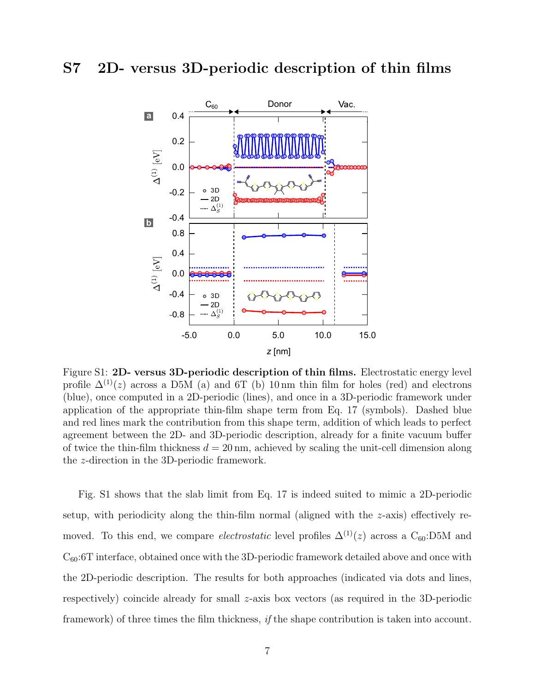#### S7 2D- versus 3D-periodic description of thin films



Figure S1: 2D- versus 3D-periodic description of thin films. Electrostatic energy level profile  $\Delta^{(1)}(z)$  across a D5M (a) and 6T (b) 10 nm thin film for holes (red) and electrons (blue), once computed in a 2D-periodic (lines), and once in a 3D-periodic framework under application of the appropriate thin-film shape term from Eq. 17 (symbols). Dashed blue and red lines mark the contribution from this shape term, addition of which leads to perfect agreement between the 2D- and 3D-periodic description, already for a finite vacuum buffer of twice the thin-film thickness  $d = 20 \text{ nm}$ , achieved by scaling the unit-cell dimension along the z-direction in the 3D-periodic framework.

Fig. S1 shows that the slab limit from Eq. 17 is indeed suited to mimic a 2D-periodic setup, with periodicity along the thin-film normal (aligned with the  $z$ -axis) effectively removed. To this end, we compare *electrostatic* level profiles  $\Delta^{(1)}(z)$  across a C<sub>60</sub>:D5M and  $C_{60}$ :6T interface, obtained once with the 3D-periodic framework detailed above and once with the 2D-periodic description. The results for both approaches (indicated via dots and lines, respectively) coincide already for small z-axis box vectors (as required in the 3D-periodic framework) of three times the film thickness, *if* the shape contribution is taken into account.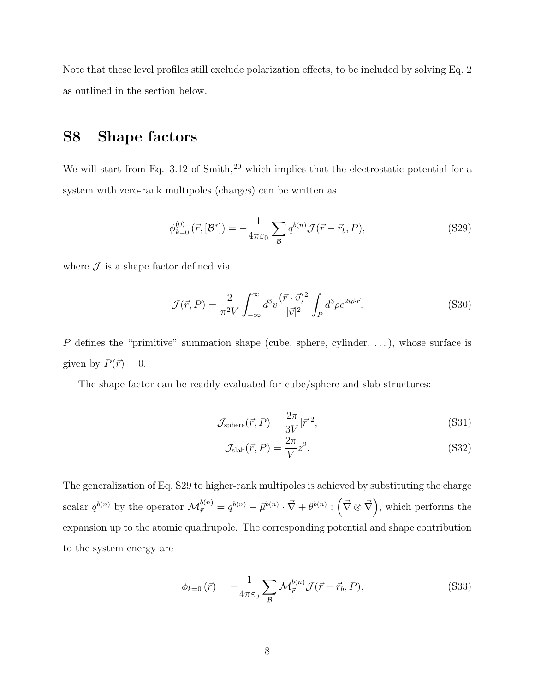Note that these level profiles still exclude polarization effects, to be included by solving Eq. 2 as outlined in the section below.

# S8 Shape factors

We will start from Eq.  $3.12$  of Smith,<sup>20</sup> which implies that the electrostatic potential for a system with zero-rank multipoles (charges) can be written as

$$
\phi_{k=0}^{(0)}\left(\vec{r},\left[\mathcal{B}^*\right]\right) = -\frac{1}{4\pi\varepsilon_0} \sum_{\mathcal{B}} q^{b(n)} \mathcal{J}(\vec{r} - \vec{r}_b, P),\tag{S29}
$$

where  $\mathcal J$  is a shape factor defined via

$$
\mathcal{J}(\vec{r},P) = \frac{2}{\pi^2 V} \int_{-\infty}^{\infty} d^3 v \frac{(\vec{r} \cdot \vec{v})^2}{|\vec{v}|^2} \int_P d^3 \rho e^{2i\vec{\rho}\cdot\vec{r}}.
$$
 (S30)

 $P$  defines the "primitive" summation shape (cube, sphere, cylinder, ...), whose surface is given by  $P(\vec{r}) = 0$ .

The shape factor can be readily evaluated for cube/sphere and slab structures:

$$
\mathcal{J}_{\text{sphere}}(\vec{r}, P) = \frac{2\pi}{3V} |\vec{r}|^2,\tag{S31}
$$

$$
\mathcal{J}_{\text{slab}}(\vec{r}, P) = \frac{2\pi}{V} z^2. \tag{S32}
$$

The generalization of Eq. S29 to higher-rank multipoles is achieved by substituting the charge scalar  $q^{b(n)}$  by the operator  $\mathcal{M}^{b(n)}_{\vec{r}} = q^{b(n)} - \vec{\mu}^{b(n)} \cdot \vec{\nabla} + \theta^{b(n)} : (\vec{\nabla} \otimes \vec{\nabla})$ , which performs the expansion up to the atomic quadrupole. The corresponding potential and shape contribution to the system energy are

$$
\phi_{k=0}(\vec{r}) = -\frac{1}{4\pi\varepsilon_0} \sum_{\mathcal{B}} \mathcal{M}_{\vec{r}}^{b(n)} \mathcal{J}(\vec{r} - \vec{r}_b, P), \tag{S33}
$$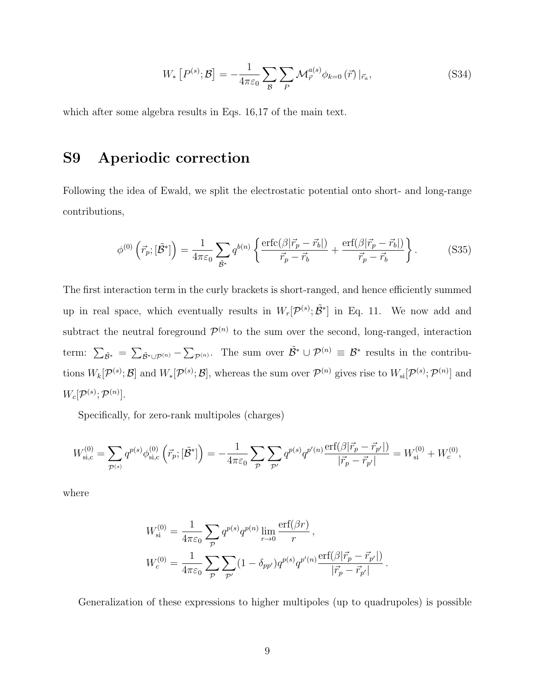$$
W_*\left[P^{(s)};\mathcal{B}\right] = -\frac{1}{4\pi\varepsilon_0} \sum_{\mathcal{B}} \sum_{P} \mathcal{M}_{\vec{r}}^{a(s)} \phi_{k=0}(\vec{r}) \left|_{\vec{r}_a},\right. \tag{S34}
$$

which after some algebra results in Eqs. 16,17 of the main text.

## S9 Aperiodic correction

Following the idea of Ewald, we split the electrostatic potential onto short- and long-range contributions,

$$
\phi^{(0)}\left(\vec{r}_p;[\tilde{\mathcal{B}}^*]\right) = \frac{1}{4\pi\varepsilon_0} \sum_{\tilde{\mathcal{B}}^*} q^{b(n)} \left\{ \frac{\text{erfc}(\beta|\vec{r}_p - \vec{r}_b|)}{\vec{r}_p - \vec{r}_b} + \frac{\text{erf}(\beta|\vec{r}_p - \vec{r}_b|)}{\vec{r}_p - \vec{r}_b} \right\}.
$$
 (S35)

The first interaction term in the curly brackets is short-ranged, and hence efficiently summed up in real space, which eventually results in  $W_r[\mathcal{P}^{(s)}; \tilde{\mathcal{B}}^*]$  in Eq. 11. We now add and subtract the neutral foreground  $\mathcal{P}^{(n)}$  to the sum over the second, long-ranged, interaction term:  $\sum_{\tilde{\beta}^*} = \sum_{\tilde{\beta}^*\cup\mathcal{P}^{(n)}} - \sum_{\mathcal{P}^{(n)}}$ . The sum over  $\tilde{\beta}^*\cup\mathcal{P}^{(n)}\equiv\mathcal{B}^*$  results in the contributions  $W_k[\mathcal{P}^{(s)};\mathcal{B}]$  and  $W_k[\mathcal{P}^{(s)};\mathcal{B}]$ , whereas the sum over  $\mathcal{P}^{(n)}$  gives rise to  $W_{si}[\mathcal{P}^{(s)};\mathcal{P}^{(n)}]$  and  $W_c[{\cal P}^{(s)};{\cal P}^{(n)}].$ 

Specifically, for zero-rank multipoles (charges)

$$
W_{\rm si,c}^{(0)} = \sum_{\mathcal{P}^{(s)}} q^{p(s)} \phi_{\rm si,c}^{(0)} \left( \vec{r}_p; [\tilde{\mathcal{B}}^*] \right) = -\frac{1}{4\pi\varepsilon_0} \sum_{\mathcal{P}} \sum_{\mathcal{P}'} q^{p(s)} q^{p'(n)} \frac{\mathrm{erf}(\beta |\vec{r}_p - \vec{r}_{p'}|)}{|\vec{r}_p - \vec{r}_{p'}|} = W_{\rm si}^{(0)} + W_c^{(0)},
$$

where

$$
W_{\rm si}^{(0)} = \frac{1}{4\pi\varepsilon_0} \sum_{\mathcal{P}} q^{p(s)} q^{p(n)} \lim_{r \to 0} \frac{\text{erf}(\beta r)}{r},
$$
  

$$
W_c^{(0)} = \frac{1}{4\pi\varepsilon_0} \sum_{\mathcal{P}} \sum_{\mathcal{P}'} (1 - \delta_{pp'}) q^{p(s)} q^{p'(n)} \frac{\text{erf}(\beta|\vec{r}_p - \vec{r}_{p'}|)}{|\vec{r}_p - \vec{r}_{p'}|}.
$$

Generalization of these expressions to higher multipoles (up to quadrupoles) is possible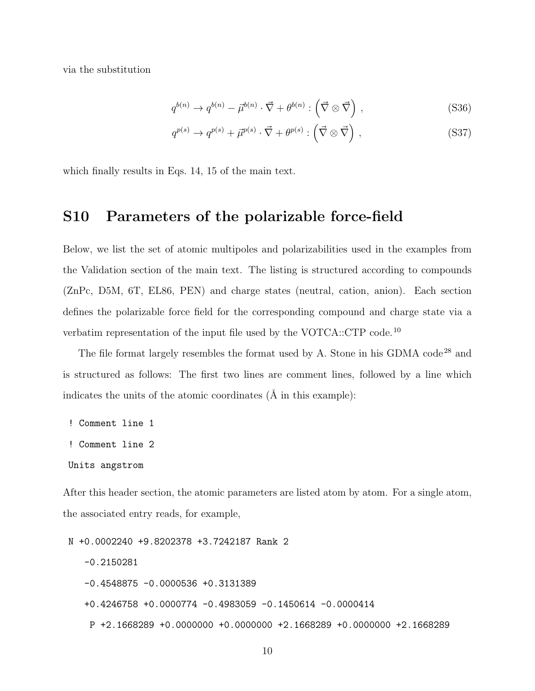via the substitution

$$
q^{b(n)} \to q^{b(n)} - \vec{\mu}^{b(n)} \cdot \vec{\nabla} + \theta^{b(n)} : (\vec{\nabla} \otimes \vec{\nabla}), \qquad (S36)
$$

$$
q^{p(s)} \to q^{p(s)} + \vec{\mu}^{p(s)} \cdot \vec{\nabla} + \theta^{p(s)} : (\vec{\nabla} \otimes \vec{\nabla}) ,
$$
 (S37)

which finally results in Eqs. 14, 15 of the main text.

#### S10 Parameters of the polarizable force-field

Below, we list the set of atomic multipoles and polarizabilities used in the examples from the Validation section of the main text. The listing is structured according to compounds (ZnPc, D5M, 6T, EL86, PEN) and charge states (neutral, cation, anion). Each section defines the polarizable force field for the corresponding compound and charge state via a verbatim representation of the input file used by the VOTCA::CTP code.<sup>10</sup>

The file format largely resembles the format used by A. Stone in his GDMA code<sup>28</sup> and is structured as follows: The first two lines are comment lines, followed by a line which indicates the units of the atomic coordinates  $(\hat{A}$  in this example):

! Comment line 1

! Comment line 2

```
Units angstrom
```
After this header section, the atomic parameters are listed atom by atom. For a single atom, the associated entry reads, for example,

N +0.0002240 +9.8202378 +3.7242187 Rank 2 -0.2150281 -0.4548875 -0.0000536 +0.3131389 +0.4246758 +0.0000774 -0.4983059 -0.1450614 -0.0000414 P +2.1668289 +0.0000000 +0.0000000 +2.1668289 +0.0000000 +2.1668289